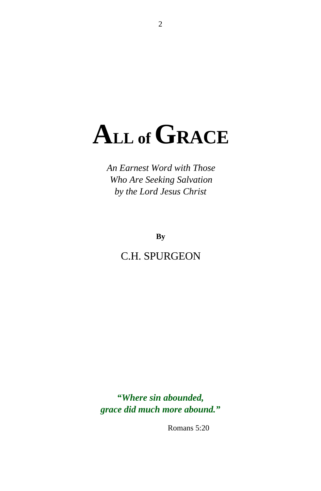**ALL of GRACE**

*An Earnest Word with Those Who Are Seeking Salvation by the Lord Jesus Christ*

**By**

### C.H. SPURGEON

*"Where sin abounded, grace did much more abound."*

Romans 5:20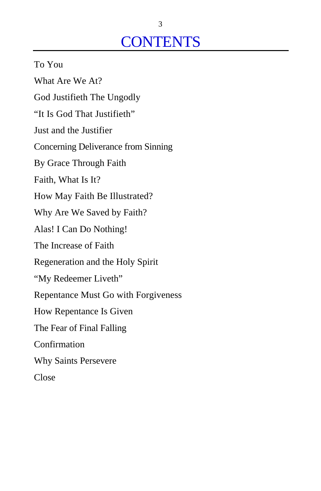**CONTENTS** 

To You What Are We At? God Justifieth The Ungodly "It Is God That Justifieth" Just and the Justifier Concerning Deliverance from Sinning By Grace Through Faith Faith, What Is It? How May Faith Be Illustrated? Why Are We Saved by Faith? Alas! I Can Do Nothing! The Increase of Faith Regeneration and the Holy Spirit "My Redeemer Liveth" Repentance Must Go with Forgiveness How Repentance Is Given The Fear of Final Falling Confirmation Why Saints Persevere Close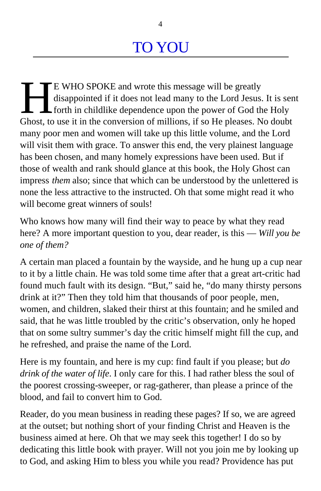# TO YOU

E WHO SPOKE and wrote this message will be greatly disappointed if it does not lead many to the Lord Jesus. It is sent **L** forth in childlike dependence upon the power of God the Holy Ghost, to use it in the conversion of millions, if so He pleases. No doubt many poor men and women will take up this little volume, and the Lord will visit them with grace. To answer this end, the very plainest language has been chosen, and many homely expressions have been used. But if those of wealth and rank should glance at this book, the Holy Ghost can impress *them* also; since that which can be understood by the unlettered is none the less attractive to the instructed. Oh that some might read it who will become great winners of souls! H

Who knows how many will find their way to peace by what they read here? A more important question to you, dear reader, is this — *Will you be one of them?*

A certain man placed a fountain by the wayside, and he hung up a cup near to it by a little chain. He was told some time after that a great art-critic had found much fault with its design. "But," said he, "do many thirsty persons drink at it?" Then they told him that thousands of poor people, men, women, and children, slaked their thirst at this fountain; and he smiled and said, that he was little troubled by the critic's observation, only he hoped that on some sultry summer's day the critic himself might fill the cup, and he refreshed, and praise the name of the Lord.

Here is my fountain, and here is my cup: find fault if you please; but *do drink of the water of life*. I only care for this. I had rather bless the soul of the poorest crossing-sweeper, or rag-gatherer, than please a prince of the blood, and fail to convert him to God.

Reader, do you mean business in reading these pages? If so, we are agreed at the outset; but nothing short of your finding Christ and Heaven is the business aimed at here. Oh that we may seek this together! I do so by dedicating this little book with prayer. Will not you join me by looking up to God, and asking Him to bless you while you read? Providence has put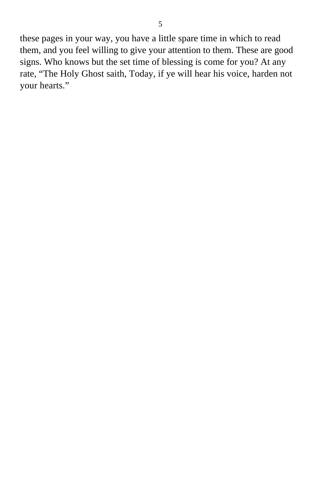these pages in your way, you have a little spare time in which to read them, and you feel willing to give your attention to them. These are good signs. Who knows but the set time of blessing is come for you? At any rate, "The Holy Ghost saith, Today, if ye will hear his voice, harden not your hearts."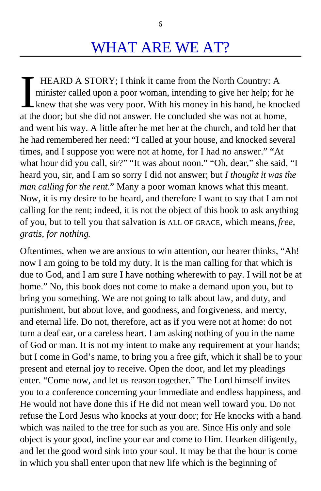### WHAT ARE WE AT?

HEARD A STORY; I think it came from the North Country: A minister called upon a poor woman, intending to give her help; for he knew that she was very poor. With his money in his hand, he knocked **At the door;** but she was very poor. With his money in his hand, he knock the door; but she did not answer. He concluded she was not at home, and went his way. A little after he met her at the church, and told her that he had remembered her need: "I called at your house, and knocked several times, and I suppose you were not at home, for I had no answer." "At what hour did you call, sir?" "It was about noon." "Oh, dear," she said, "I heard you, sir, and I am so sorry I did not answer; but *I thought it was the man calling for the rent*." Many a poor woman knows what this meant. Now, it is my desire to be heard, and therefore I want to say that I am not calling for the rent; indeed, it is not the object of this book to ask anything of you, but to tell you that salvation is ALL OF GRACE, which means, *free, gratis, for nothing*.

Oftentimes, when we are anxious to win attention, our hearer thinks, "Ah! now I am going to be told my duty. It is the man calling for that which is due to God, and I am sure I have nothing wherewith to pay. I will not be at home." No, this book does not come to make a demand upon you, but to bring you something. We are not going to talk about law, and duty, and punishment, but about love, and goodness, and forgiveness, and mercy, and eternal life. Do not, therefore, act as if you were not at home: do not turn a deaf ear, or a careless heart. I am asking nothing of you in the name of God or man. It is not my intent to make any requirement at your hands; but I come in God's name, to bring you a free gift, which it shall be to your present and eternal joy to receive. Open the door, and let my pleadings enter. "Come now, and let us reason together." The Lord himself invites you to a conference concerning your immediate and endless happiness, and He would not have done this if He did not mean well toward you. Do not refuse the Lord Jesus who knocks at your door; for He knocks with a hand which was nailed to the tree for such as you are. Since His only and sole object is your good, incline your ear and come to Him. Hearken diligently, and let the good word sink into your soul. It may be that the hour is come in which you shall enter upon that new life which is the beginning of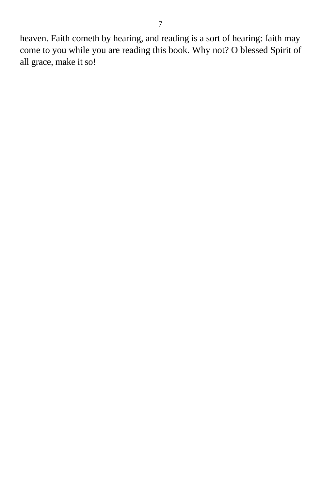heaven. Faith cometh by hearing, and reading is a sort of hearing: faith may come to you while you are reading this book. Why not? O blessed Spirit of all grace, make it so!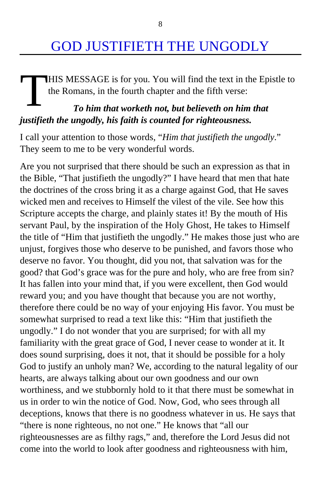### GOD JUSTIFIETH THE UNGODLY

HIS MESSAGE is for you. You will find the text in the Epistle to the Romans, in the fourth chapter and the fifth verse: T

#### *To him that worketh not, but believeth on him that justifieth the ungodly, his faith is counted for righteousness.*

I call your attention to those words, "*Him that justifieth the ungodly*." They seem to me to be very wonderful words.

Are you not surprised that there should be such an expression as that in the Bible, "That justifieth the ungodly?" I have heard that men that hate the doctrines of the cross bring it as a charge against God, that He saves wicked men and receives to Himself the vilest of the vile. See how this Scripture accepts the charge, and plainly states it! By the mouth of His servant Paul, by the inspiration of the Holy Ghost, He takes to Himself the title of "Him that justifieth the ungodly." He makes those just who are unjust, forgives those who deserve to be punished, and favors those who deserve no favor. You thought, did you not, that salvation was for the good? that God's grace was for the pure and holy, who are free from sin? It has fallen into your mind that, if you were excellent, then God would reward you; and you have thought that because you are not worthy, therefore there could be no way of your enjoying His favor. You must be somewhat surprised to read a text like this: "Him that justifieth the ungodly." I do not wonder that you are surprised; for with all my familiarity with the great grace of God, I never cease to wonder at it. It does sound surprising, does it not, that it should be possible for a holy God to justify an unholy man? We, according to the natural legality of our hearts, are always talking about our own goodness and our own worthiness, and we stubbornly hold to it that there must be somewhat in us in order to win the notice of God. Now, God, who sees through all deceptions, knows that there is no goodness whatever in us. He says that "there is none righteous, no not one." He knows that "all our righteousnesses are as filthy rags," and, therefore the Lord Jesus did not come into the world to look after goodness and righteousness with him,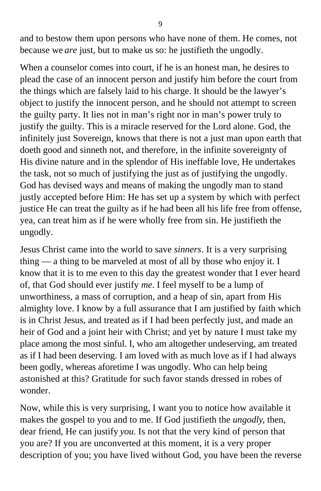and to bestow them upon persons who have none of them. He comes, not because we *are* just, but to make us so: he justifieth the ungodly.

When a counselor comes into court, if he is an honest man, he desires to plead the case of an innocent person and justify him before the court from the things which are falsely laid to his charge. It should be the lawyer's object to justify the innocent person, and he should not attempt to screen the guilty party. It lies not in man's right nor in man's power truly to justify the guilty. This is a miracle reserved for the Lord alone. God, the infinitely just Sovereign, knows that there is not a just man upon earth that doeth good and sinneth not, and therefore, in the infinite sovereignty of His divine nature and in the splendor of His ineffable love, He undertakes the task, not so much of justifying the just as of justifying the ungodly. God has devised ways and means of making the ungodly man to stand justly accepted before Him: He has set up a system by which with perfect justice He can treat the guilty as if he had been all his life free from offense, yea, can treat him as if he were wholly free from sin. He justifieth the ungodly.

Jesus Christ came into the world to save *sinners*. It is a very surprising thing — a thing to be marveled at most of all by those who enjoy it. I know that it is to me even to this day the greatest wonder that I ever heard of, that God should ever justify *me*. I feel myself to be a lump of unworthiness, a mass of corruption, and a heap of sin, apart from His almighty love. I know by a full assurance that I am justified by faith which is in Christ Jesus, and treated as if I had been perfectly just, and made an heir of God and a joint heir with Christ; and yet by nature I must take my place among the most sinful. I, who am altogether undeserving, am treated as if I had been deserving. I am loved with as much love as if I had always been godly, whereas aforetime I was ungodly. Who can help being astonished at this? Gratitude for such favor stands dressed in robes of wonder.

Now, while this is very surprising, I want you to notice how available it makes the gospel to you and to me. If God justifieth the *ungodly*, then, dear friend, He can justify *you*. Is not that the very kind of person that you are? If you are unconverted at this moment, it is a very proper description of you; you have lived without God, you have been the reverse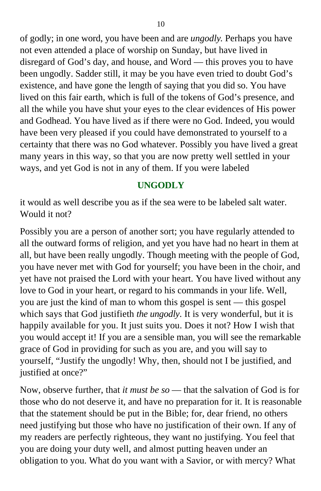of godly; in one word, you have been and are *ungodly*. Perhaps you have not even attended a place of worship on Sunday, but have lived in disregard of God's day, and house, and Word — this proves you to have been ungodly. Sadder still, it may be you have even tried to doubt God's existence, and have gone the length of saying that you did so. You have lived on this fair earth, which is full of the tokens of God's presence, and all the while you have shut your eyes to the clear evidences of His power and Godhead. You have lived as if there were no God. Indeed, you would have been very pleased if you could have demonstrated to yourself to a certainty that there was no God whatever. Possibly you have lived a great many years in this way, so that you are now pretty well settled in your ways, and yet God is not in any of them. If you were labeled

#### **UNGODLY**

it would as well describe you as if the sea were to be labeled salt water. Would it not?

Possibly you are a person of another sort; you have regularly attended to all the outward forms of religion, and yet you have had no heart in them at all, but have been really ungodly. Though meeting with the people of God, you have never met with God for yourself; you have been in the choir, and yet have not praised the Lord with your heart. You have lived without any love to God in your heart, or regard to his commands in your life. Well, you are just the kind of man to whom this gospel is sent — this gospel which says that God justifieth *the ungodly*. It is very wonderful, but it is happily available for you. It just suits you. Does it not? How I wish that you would accept it! If you are a sensible man, you will see the remarkable grace of God in providing for such as you are, and you will say to yourself, "Justify the ungodly! Why, then, should not I be justified, and justified at once?"

Now, observe further, that *it must be so* — that the salvation of God is for those who do not deserve it, and have no preparation for it. It is reasonable that the statement should be put in the Bible; for, dear friend, no others need justifying but those who have no justification of their own. If any of my readers are perfectly righteous, they want no justifying. You feel that you are doing your duty well, and almost putting heaven under an obligation to you. What do you want with a Savior, or with mercy? What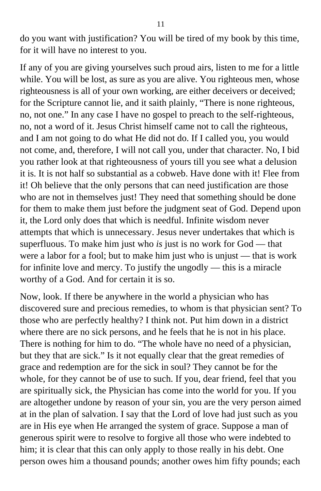do you want with justification? You will be tired of my book by this time, for it will have no interest to you.

If any of you are giving yourselves such proud airs, listen to me for a little while. You will be lost, as sure as you are alive. You righteous men, whose righteousness is all of your own working, are either deceivers or deceived; for the Scripture cannot lie, and it saith plainly, "There is none righteous, no, not one." In any case I have no gospel to preach to the self-righteous, no, not a word of it. Jesus Christ himself came not to call the righteous, and I am not going to do what He did not do. If I called you, you would not come, and, therefore, I will not call you, under that character. No, I bid you rather look at that righteousness of yours till you see what a delusion it is. It is not half so substantial as a cobweb. Have done with it! Flee from it! Oh believe that the only persons that can need justification are those who are not in themselves just! They need that something should be done for them to make them just before the judgment seat of God. Depend upon it, the Lord only does that which is needful. Infinite wisdom never attempts that which is unnecessary. Jesus never undertakes that which is superfluous. To make him just who *is* just is no work for God — that were a labor for a fool; but to make him just who is unjust — that is work for infinite love and mercy. To justify the ungodly — this is a miracle worthy of a God. And for certain it is so.

Now, look. If there be anywhere in the world a physician who has discovered sure and precious remedies, to whom is that physician sent? To those who are perfectly healthy? I think not. Put him down in a district where there are no sick persons, and he feels that he is not in his place. There is nothing for him to do. "The whole have no need of a physician, but they that are sick." Is it not equally clear that the great remedies of grace and redemption are for the sick in soul? They cannot be for the whole, for they cannot be of use to such. If you, dear friend, feel that you are spiritually sick, the Physician has come into the world for you. If you are altogether undone by reason of your sin, you are the very person aimed at in the plan of salvation. I say that the Lord of love had just such as you are in His eye when He arranged the system of grace. Suppose a man of generous spirit were to resolve to forgive all those who were indebted to him; it is clear that this can only apply to those really in his debt. One person owes him a thousand pounds; another owes him fifty pounds; each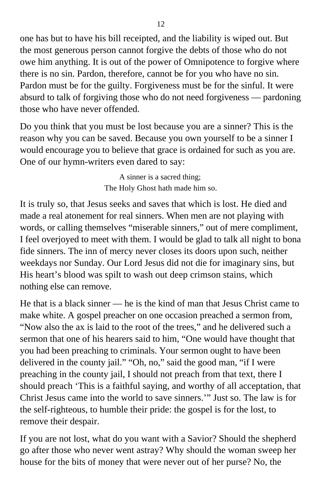one has but to have his bill receipted, and the liability is wiped out. But the most generous person cannot forgive the debts of those who do not owe him anything. It is out of the power of Omnipotence to forgive where there is no sin. Pardon, therefore, cannot be for you who have no sin. Pardon must be for the guilty. Forgiveness must be for the sinful. It were absurd to talk of forgiving those who do not need forgiveness — pardoning those who have never offended.

Do you think that you must be lost because you are a sinner? This is the reason why you can be saved. Because you own yourself to be a sinner I would encourage you to believe that grace is ordained for such as you are. One of our hymn-writers even dared to say:

> A sinner is a sacred thing; The Holy Ghost hath made him so.

It is truly so, that Jesus seeks and saves that which is lost. He died and made a real atonement for real sinners. When men are not playing with words, or calling themselves "miserable sinners," out of mere compliment, I feel overjoyed to meet with them. I would be glad to talk all night to bona fide sinners. The inn of mercy never closes its doors upon such, neither weekdays nor Sunday. Our Lord Jesus did not die for imaginary sins, but His heart's blood was spilt to wash out deep crimson stains, which nothing else can remove.

He that is a black sinner — he is the kind of man that Jesus Christ came to make white. A gospel preacher on one occasion preached a sermon from, "Now also the ax is laid to the root of the trees," and he delivered such a sermon that one of his hearers said to him, "One would have thought that you had been preaching to criminals. Your sermon ought to have been delivered in the county jail." "Oh, no," said the good man, "if I were preaching in the county jail, I should not preach from that text, there I should preach 'This is a faithful saying, and worthy of all acceptation, that Christ Jesus came into the world to save sinners.'" Just so. The law is for the self-righteous, to humble their pride: the gospel is for the lost, to remove their despair.

If you are not lost, what do you want with a Savior? Should the shepherd go after those who never went astray? Why should the woman sweep her house for the bits of money that were never out of her purse? No, the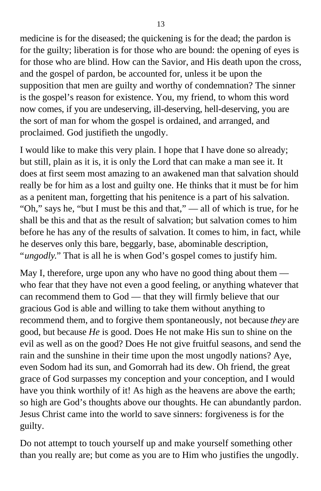medicine is for the diseased; the quickening is for the dead; the pardon is for the guilty; liberation is for those who are bound: the opening of eyes is for those who are blind. How can the Savior, and His death upon the cross, and the gospel of pardon, be accounted for, unless it be upon the supposition that men are guilty and worthy of condemnation? The sinner is the gospel's reason for existence. You, my friend, to whom this word now comes, if you are undeserving, ill-deserving, hell-deserving, you are the sort of man for whom the gospel is ordained, and arranged, and proclaimed. God justifieth the ungodly.

I would like to make this very plain. I hope that I have done so already; but still, plain as it is, it is only the Lord that can make a man see it. It does at first seem most amazing to an awakened man that salvation should really be for him as a lost and guilty one. He thinks that it must be for him as a penitent man, forgetting that his penitence is a part of his salvation. "Oh," says he, "but I must be this and that," — all of which is true, for he shall be this and that as the result of salvation; but salvation comes to him before he has any of the results of salvation. It comes to him, in fact, while he deserves only this bare, beggarly, base, abominable description, "*ungodly*." That is all he is when God's gospel comes to justify him.

May I, therefore, urge upon any who have no good thing about them who fear that they have not even a good feeling, or anything whatever that can recommend them to God — that they will firmly believe that our gracious God is able and willing to take them without anything to recommend them, and to forgive them spontaneously, not because *they* are good, but because *He* is good. Does He not make His sun to shine on the evil as well as on the good? Does He not give fruitful seasons, and send the rain and the sunshine in their time upon the most ungodly nations? Aye, even Sodom had its sun, and Gomorrah had its dew. Oh friend, the great grace of God surpasses my conception and your conception, and I would have you think worthily of it! As high as the heavens are above the earth; so high are God's thoughts above our thoughts. He can abundantly pardon. Jesus Christ came into the world to save sinners: forgiveness is for the guilty.

Do not attempt to touch yourself up and make yourself something other than you really are; but come as you are to Him who justifies the ungodly.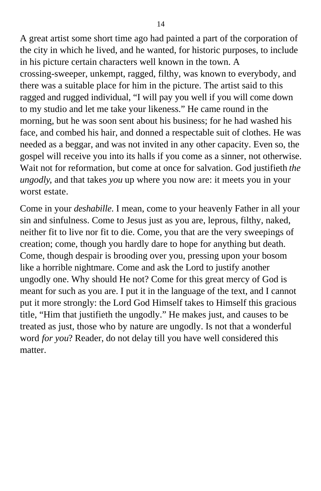A great artist some short time ago had painted a part of the corporation of the city in which he lived, and he wanted, for historic purposes, to include in his picture certain characters well known in the town. A crossing-sweeper, unkempt, ragged, filthy, was known to everybody, and there was a suitable place for him in the picture. The artist said to this ragged and rugged individual, "I will pay you well if you will come down to my studio and let me take your likeness." He came round in the morning, but he was soon sent about his business; for he had washed his face, and combed his hair, and donned a respectable suit of clothes. He was needed as a beggar, and was not invited in any other capacity. Even so, the gospel will receive you into its halls if you come as a sinner, not otherwise. Wait not for reformation, but come at once for salvation. God justifieth *the ungodly*, and that takes *you* up where you now are: it meets you in your worst estate.

Come in your *deshabille*. I mean, come to your heavenly Father in all your sin and sinfulness. Come to Jesus just as you are, leprous, filthy, naked, neither fit to live nor fit to die. Come, you that are the very sweepings of creation; come, though you hardly dare to hope for anything but death. Come, though despair is brooding over you, pressing upon your bosom like a horrible nightmare. Come and ask the Lord to justify another ungodly one. Why should He not? Come for this great mercy of God is meant for such as you are. I put it in the language of the text, and I cannot put it more strongly: the Lord God Himself takes to Himself this gracious title, "Him that justifieth the ungodly." He makes just, and causes to be treated as just, those who by nature are ungodly. Is not that a wonderful word *for you*? Reader, do not delay till you have well considered this matter.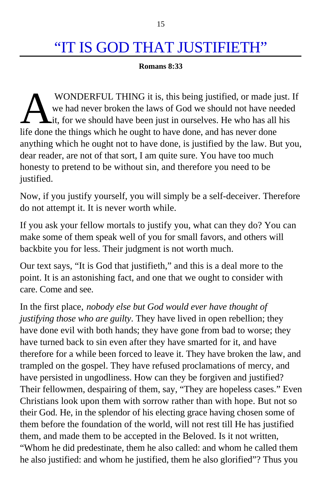### "IT IS GOD THAT JUSTIFIETH"

#### **Romans 8:33**

 WONDERFUL THING it is, this being justified, or made just. If we had never broken the laws of God we should not have needed  $\text{Lit}$ , for we should have been just in ourselves. He who has all his life done the things which he ought to have done, and has never done anything which he ought not to have done, is justified by the law. But you, dear reader, are not of that sort, I am quite sure. You have too much honesty to pretend to be without sin, and therefore you need to be justified. A

Now, if you justify yourself, you will simply be a self-deceiver. Therefore do not attempt it. It is never worth while.

If you ask your fellow mortals to justify you, what can they do? You can make some of them speak well of you for small favors, and others will backbite you for less. Their judgment is not worth much.

Our text says, "It is God that justifieth," and this is a deal more to the point. It is an astonishing fact, and one that we ought to consider with care. Come and see.

In the first place, *nobody else but God would ever have thought of justifying those who are guilty*. They have lived in open rebellion; they have done evil with both hands; they have gone from bad to worse; they have turned back to sin even after they have smarted for it, and have therefore for a while been forced to leave it. They have broken the law, and trampled on the gospel. They have refused proclamations of mercy, and have persisted in ungodliness. How can they be forgiven and justified? Their fellowmen, despairing of them, say, "They are hopeless cases." Even Christians look upon them with sorrow rather than with hope. But not so their God. He, in the splendor of his electing grace having chosen some of them before the foundation of the world, will not rest till He has justified them, and made them to be accepted in the Beloved. Is it not written, "Whom he did predestinate, them he also called: and whom he called them he also justified: and whom he justified, them he also glorified"? Thus you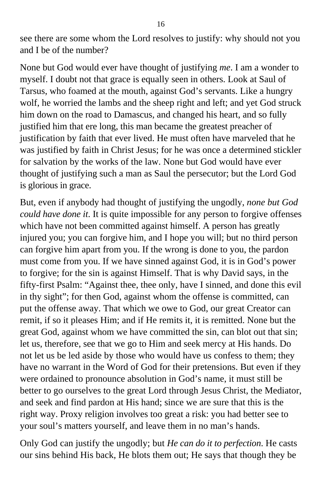see there are some whom the Lord resolves to justify: why should not you and I be of the number?

None but God would ever have thought of justifying *me*. I am a wonder to myself. I doubt not that grace is equally seen in others. Look at Saul of Tarsus, who foamed at the mouth, against God's servants. Like a hungry wolf, he worried the lambs and the sheep right and left; and yet God struck him down on the road to Damascus, and changed his heart, and so fully justified him that ere long, this man became the greatest preacher of justification by faith that ever lived. He must often have marveled that he was justified by faith in Christ Jesus; for he was once a determined stickler for salvation by the works of the law. None but God would have ever thought of justifying such a man as Saul the persecutor; but the Lord God is glorious in grace.

But, even if anybody had thought of justifying the ungodly, *none but God could have done it*. It is quite impossible for any person to forgive offenses which have not been committed against himself. A person has greatly injured you; you can forgive him, and I hope you will; but no third person can forgive him apart from you. If the wrong is done to you, the pardon must come from you. If we have sinned against God, it is in God's power to forgive; for the sin is against Himself. That is why David says, in the fifty-first Psalm: "Against thee, thee only, have I sinned, and done this evil in thy sight"; for then God, against whom the offense is committed, can put the offense away. That which we owe to God, our great Creator can remit, if so it pleases Him; and if He remits it, it is remitted. None but the great God, against whom we have committed the sin, can blot out that sin; let us, therefore, see that we go to Him and seek mercy at His hands. Do not let us be led aside by those who would have us confess to them; they have no warrant in the Word of God for their pretensions. But even if they were ordained to pronounce absolution in God's name, it must still be better to go ourselves to the great Lord through Jesus Christ, the Mediator, and seek and find pardon at His hand; since we are sure that this is the right way. Proxy religion involves too great a risk: you had better see to your soul's matters yourself, and leave them in no man's hands.

Only God can justify the ungodly; but *He can do it to perfection*. He casts our sins behind His back, He blots them out; He says that though they be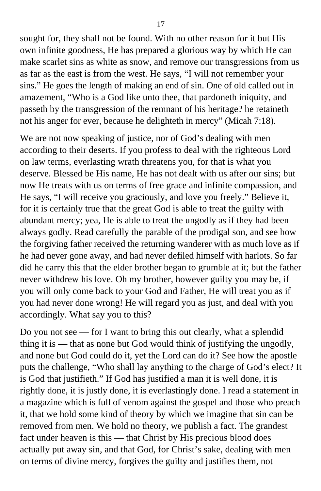sought for, they shall not be found. With no other reason for it but His own infinite goodness, He has prepared a glorious way by which He can make scarlet sins as white as snow, and remove our transgressions from us as far as the east is from the west. He says, "I will not remember your sins." He goes the length of making an end of sin. One of old called out in amazement, "Who is a God like unto thee, that pardoneth iniquity, and passeth by the transgression of the remnant of his heritage? he retaineth not his anger for ever, because he delighteth in mercy" (Micah 7:18).

We are not now speaking of justice, nor of God's dealing with men according to their deserts. If you profess to deal with the righteous Lord on law terms, everlasting wrath threatens you, for that is what you deserve. Blessed be His name, He has not dealt with us after our sins; but now He treats with us on terms of free grace and infinite compassion, and He says, "I will receive you graciously, and love you freely." Believe it, for it is certainly true that the great God is able to treat the guilty with abundant mercy; yea, He is able to treat the ungodly as if they had been always godly. Read carefully the parable of the prodigal son, and see how the forgiving father received the returning wanderer with as much love as if he had never gone away, and had never defiled himself with harlots. So far did he carry this that the elder brother began to grumble at it; but the father never withdrew his love. Oh my brother, however guilty you may be, if you will only come back to your God and Father, He will treat you as if you had never done wrong! He will regard you as just, and deal with you accordingly. What say you to this?

Do you not see — for I want to bring this out clearly, what a splendid thing it is — that as none but God would think of justifying the ungodly, and none but God could do it, yet the Lord can do it? See how the apostle puts the challenge, "Who shall lay anything to the charge of God's elect? It is God that justifieth." If God has justified a man it is well done, it is rightly done, it is justly done, it is everlastingly done. I read a statement in a magazine which is full of venom against the gospel and those who preach it, that we hold some kind of theory by which we imagine that sin can be removed from men. We hold no theory, we publish a fact. The grandest fact under heaven is this — that Christ by His precious blood does actually put away sin, and that God, for Christ's sake, dealing with men on terms of divine mercy, forgives the guilty and justifies them, not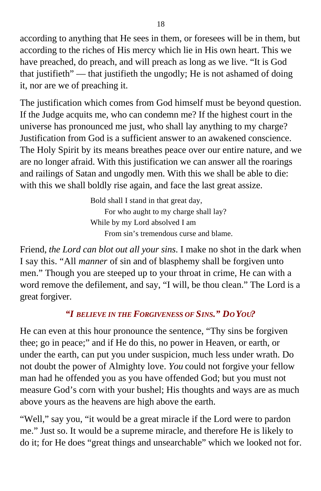according to anything that He sees in them, or foresees will be in them, but according to the riches of His mercy which lie in His own heart. This we have preached, do preach, and will preach as long as we live. "It is God that justifieth" — that justifieth the ungodly; He is not ashamed of doing it, nor are we of preaching it.

The justification which comes from God himself must be beyond question. If the Judge acquits me, who can condemn me? If the highest court in the universe has pronounced me just, who shall lay anything to my charge? Justification from God is a sufficient answer to an awakened conscience. The Holy Spirit by its means breathes peace over our entire nature, and we are no longer afraid. With this justification we can answer all the roarings and railings of Satan and ungodly men. With this we shall be able to die: with this we shall boldly rise again, and face the last great assize.

> Bold shall I stand in that great day, For who aught to my charge shall lay? While by my Lord absolved I am From sin's tremendous curse and blame.

Friend, *the Lord can blot out all your sins*. I make no shot in the dark when I say this. "All *manner* of sin and of blasphemy shall be forgiven unto men." Though you are steeped up to your throat in crime, He can with a word remove the defilement, and say, "I will, be thou clean." The Lord is a great forgiver.

#### *"I BELIEVE IN THE FORGIVENESS OF SINS." DO YOU?*

He can even at this hour pronounce the sentence, "Thy sins be forgiven thee; go in peace;" and if He do this, no power in Heaven, or earth, or under the earth, can put you under suspicion, much less under wrath. Do not doubt the power of Almighty love. *You* could not forgive your fellow man had he offended you as you have offended God; but you must not measure God's corn with your bushel; His thoughts and ways are as much above yours as the heavens are high above the earth.

"Well," say you, "it would be a great miracle if the Lord were to pardon me." Just so. It would be a supreme miracle, and therefore He is likely to do it; for He does "great things and unsearchable" which we looked not for.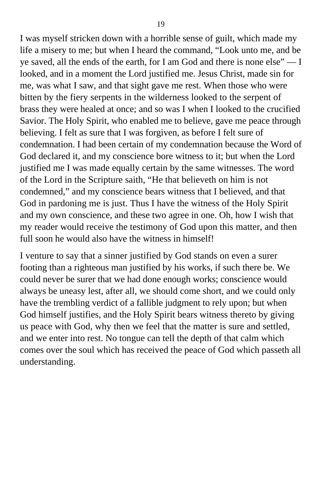I was myself stricken down with a horrible sense of guilt, which made my life a misery to me; but when I heard the command, "Look unto me, and be ye saved, all the ends of the earth, for I am God and there is none else" — I looked, and in a moment the Lord justified me. Jesus Christ, made sin for me, was what I saw, and that sight gave me rest. When those who were bitten by the fiery serpents in the wilderness looked to the serpent of brass they were healed at once; and so was I when I looked to the crucified Savior. The Holy Spirit, who enabled me to believe, gave me peace through believing. I felt as sure that I was forgiven, as before I felt sure of condemnation. I had been certain of my condemnation because the Word of God declared it, and my conscience bore witness to it; but when the Lord justified me I was made equally certain by the same witnesses. The word of the Lord in the Scripture saith, "He that believeth on him is not condemned," and my conscience bears witness that I believed, and that God in pardoning me is just. Thus I have the witness of the Holy Spirit and my own conscience, and these two agree in one. Oh, how I wish that my reader would receive the testimony of God upon this matter, and then full soon he would also have the witness in himself!

I venture to say that a sinner justified by God stands on even a surer footing than a righteous man justified by his works, if such there be. We could never be surer that we had done enough works; conscience would always be uneasy lest, after all, we should come short, and we could only have the trembling verdict of a fallible judgment to rely upon; but when God himself justifies, and the Holy Spirit bears witness thereto by giving us peace with God, why then we feel that the matter is sure and settled, and we enter into rest. No tongue can tell the depth of that calm which comes over the soul which has received the peace of God which passeth all understanding.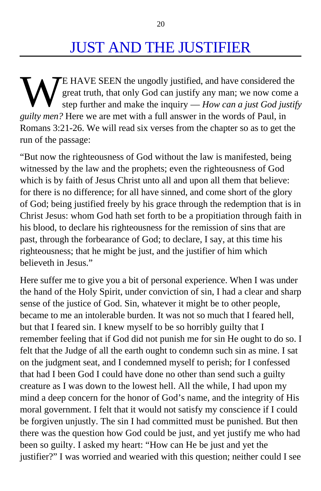# JUST AND THE JUSTIFIER

**T**E HAVE SEEN the ungodly justified, and have considered the great truth, that only God can justify any man; we now come a step further and make the inquiry — *How can a just God justify guilty men?* Here we are met with a full answer in the words of Paul, in Romans 3:21-26. We will read six verses from the chapter so as to get the run of the passage: W

"But now the righteousness of God without the law is manifested, being witnessed by the law and the prophets; even the righteousness of God which is by faith of Jesus Christ unto all and upon all them that believe: for there is no difference; for all have sinned, and come short of the glory of God; being justified freely by his grace through the redemption that is in Christ Jesus: whom God hath set forth to be a propitiation through faith in his blood, to declare his righteousness for the remission of sins that are past, through the forbearance of God; to declare, I say, at this time his righteousness; that he might be just, and the justifier of him which believeth in Jesus"

Here suffer me to give you a bit of personal experience. When I was under the hand of the Holy Spirit, under conviction of sin, I had a clear and sharp sense of the justice of God. Sin, whatever it might be to other people, became to me an intolerable burden. It was not so much that I feared hell, but that I feared sin. I knew myself to be so horribly guilty that I remember feeling that if God did not punish me for sin He ought to do so. I felt that the Judge of all the earth ought to condemn such sin as mine. I sat on the judgment seat, and I condemned myself to perish; for I confessed that had I been God I could have done no other than send such a guilty creature as I was down to the lowest hell. All the while, I had upon my mind a deep concern for the honor of God's name, and the integrity of His moral government. I felt that it would not satisfy my conscience if I could be forgiven unjustly. The sin I had committed must be punished. But then there was the question how God could be just, and yet justify me who had been so guilty. I asked my heart: "How can He be just and yet the justifier?" I was worried and wearied with this question; neither could I see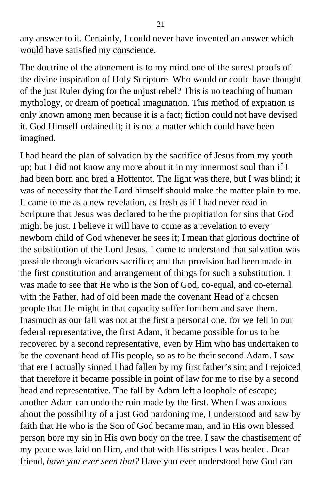any answer to it. Certainly, I could never have invented an answer which would have satisfied my conscience.

The doctrine of the atonement is to my mind one of the surest proofs of the divine inspiration of Holy Scripture. Who would or could have thought of the just Ruler dying for the unjust rebel? This is no teaching of human mythology, or dream of poetical imagination. This method of expiation is only known among men because it is a fact; fiction could not have devised it. God Himself ordained it; it is not a matter which could have been imagined.

I had heard the plan of salvation by the sacrifice of Jesus from my youth up; but I did not know any more about it in my innermost soul than if I had been born and bred a Hottentot. The light was there, but I was blind; it was of necessity that the Lord himself should make the matter plain to me. It came to me as a new revelation, as fresh as if I had never read in Scripture that Jesus was declared to be the propitiation for sins that God might be just. I believe it will have to come as a revelation to every newborn child of God whenever he sees it; I mean that glorious doctrine of the substitution of the Lord Jesus. I came to understand that salvation was possible through vicarious sacrifice; and that provision had been made in the first constitution and arrangement of things for such a substitution. I was made to see that He who is the Son of God, co-equal, and co-eternal with the Father, had of old been made the covenant Head of a chosen people that He might in that capacity suffer for them and save them. Inasmuch as our fall was not at the first a personal one, for we fell in our federal representative, the first Adam, it became possible for us to be recovered by a second representative, even by Him who has undertaken to be the covenant head of His people, so as to be their second Adam. I saw that ere I actually sinned I had fallen by my first father's sin; and I rejoiced that therefore it became possible in point of law for me to rise by a second head and representative. The fall by Adam left a loophole of escape; another Adam can undo the ruin made by the first. When I was anxious about the possibility of a just God pardoning me, I understood and saw by faith that He who is the Son of God became man, and in His own blessed person bore my sin in His own body on the tree. I saw the chastisement of my peace was laid on Him, and that with His stripes I was healed. Dear friend, *have you ever seen that?* Have you ever understood how God can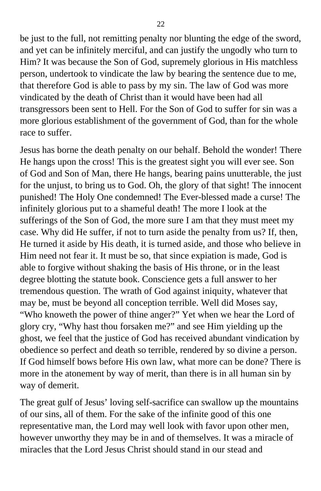be just to the full, not remitting penalty nor blunting the edge of the sword, and yet can be infinitely merciful, and can justify the ungodly who turn to Him? It was because the Son of God, supremely glorious in His matchless person, undertook to vindicate the law by bearing the sentence due to me, that therefore God is able to pass by my sin. The law of God was more vindicated by the death of Christ than it would have been had all transgressors been sent to Hell. For the Son of God to suffer for sin was a more glorious establishment of the government of God, than for the whole race to suffer.

Jesus has borne the death penalty on our behalf. Behold the wonder! There He hangs upon the cross! This is the greatest sight you will ever see. Son of God and Son of Man, there He hangs, bearing pains unutterable, the just for the unjust, to bring us to God. Oh, the glory of that sight! The innocent punished! The Holy One condemned! The Ever-blessed made a curse! The infinitely glorious put to a shameful death! The more I look at the sufferings of the Son of God, the more sure I am that they must meet my case. Why did He suffer, if not to turn aside the penalty from us? If, then, He turned it aside by His death, it is turned aside, and those who believe in Him need not fear it. It must be so, that since expiation is made, God is able to forgive without shaking the basis of His throne, or in the least degree blotting the statute book. Conscience gets a full answer to her tremendous question. The wrath of God against iniquity, whatever that may be, must be beyond all conception terrible. Well did Moses say, "Who knoweth the power of thine anger?" Yet when we hear the Lord of glory cry, "Why hast thou forsaken me?" and see Him yielding up the ghost, we feel that the justice of God has received abundant vindication by obedience so perfect and death so terrible, rendered by so divine a person. If God himself bows before His own law, what more can be done? There is more in the atonement by way of merit, than there is in all human sin by way of demerit.

The great gulf of Jesus' loving self-sacrifice can swallow up the mountains of our sins, all of them. For the sake of the infinite good of this one representative man, the Lord may well look with favor upon other men, however unworthy they may be in and of themselves. It was a miracle of miracles that the Lord Jesus Christ should stand in our stead and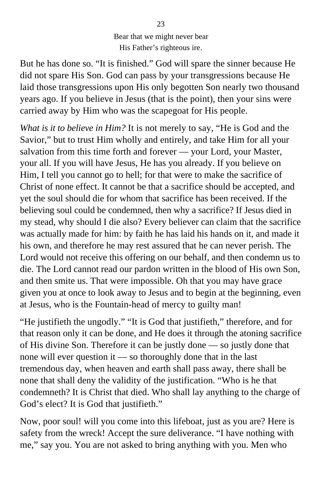Bear that we might never bear His Father's righteous ire.

But he has done so. "It is finished." God will spare the sinner because He did not spare His Son. God can pass by your transgressions because He laid those transgressions upon His only begotten Son nearly two thousand years ago. If you believe in Jesus (that is the point), then your sins were carried away by Him who was the scapegoat for His people.

*What is it to believe in Him?* It is not merely to say, "He is God and the Savior," but to trust Him wholly and entirely, and take Him for all your salvation from this time forth and forever — your Lord, your Master, your all. If you will have Jesus, He has you already. If you believe on Him, I tell you cannot go to hell; for that were to make the sacrifice of Christ of none effect. It cannot be that a sacrifice should be accepted, and yet the soul should die for whom that sacrifice has been received. If the believing soul could be condemned, then why a sacrifice? If Jesus died in my stead, why should I die also? Every believer can claim that the sacrifice was actually made for him: by faith he has laid his hands on it, and made it his own, and therefore he may rest assured that he can never perish. The Lord would not receive this offering on our behalf, and then condemn us to die. The Lord cannot read our pardon written in the blood of His own Son, and then smite us. That were impossible. Oh that you may have grace given you at once to look away to Jesus and to begin at the beginning, even at Jesus, who is the Fountain-head of mercy to guilty man!

"He justifieth the ungodly." "It is God that justifieth," therefore, and for that reason only it can be done, and He does it through the atoning sacrifice of His divine Son. Therefore it can be justly done — so justly done that none will ever question it — so thoroughly done that in the last tremendous day, when heaven and earth shall pass away, there shall be none that shall deny the validity of the justification. "Who is he that condemneth? It is Christ that died. Who shall lay anything to the charge of God's elect? It is God that justifieth."

Now, poor soul! will you come into this lifeboat, just as you are? Here is safety from the wreck! Accept the sure deliverance. "I have nothing with me," say you. You are not asked to bring anything with you. Men who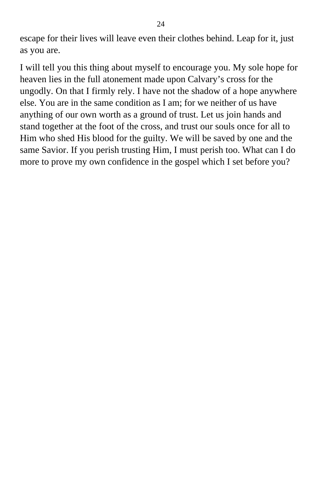escape for their lives will leave even their clothes behind. Leap for it, just as you are.

I will tell you this thing about myself to encourage you. My sole hope for heaven lies in the full atonement made upon Calvary's cross for the ungodly. On that I firmly rely. I have not the shadow of a hope anywhere else. You are in the same condition as I am; for we neither of us have anything of our own worth as a ground of trust. Let us join hands and stand together at the foot of the cross, and trust our souls once for all to Him who shed His blood for the guilty. We will be saved by one and the same Savior. If you perish trusting Him, I must perish too. What can I do more to prove my own confidence in the gospel which I set before you?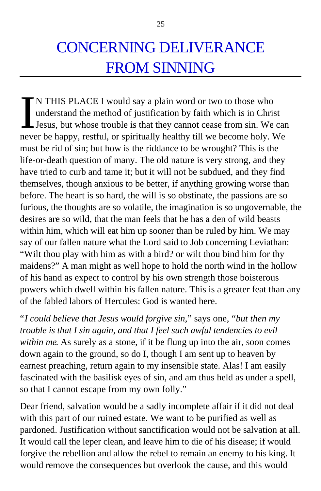# CONCERNING DELIVERANCE FROM SINNING

N THIS PLACE I would say a plain word or two to those who understand the method of justification by faith which is in Christ Jesus, but whose trouble is that they cannot cease from sin. We can never be happy, restful, or spiritually healthy till we become holy. We must be rid of sin; but how is the riddance to be wrought? This is the life-or-death question of many. The old nature is very strong, and they have tried to curb and tame it; but it will not be subdued, and they find themselves, though anxious to be better, if anything growing worse than before. The heart is so hard, the will is so obstinate, the passions are so furious, the thoughts are so volatile, the imagination is so ungovernable, the desires are so wild, that the man feels that he has a den of wild beasts within him, which will eat him up sooner than be ruled by him. We may say of our fallen nature what the Lord said to Job concerning Leviathan: "Wilt thou play with him as with a bird? or wilt thou bind him for thy maidens?" A man might as well hope to hold the north wind in the hollow of his hand as expect to control by his own strength those boisterous powers which dwell within his fallen nature. This is a greater feat than any of the fabled labors of Hercules: God is wanted here. I

"*I could believe that Jesus would forgive sin*," says one, "*but then my trouble is that I sin again, and that I feel such awful tendencies to evil within me*. As surely as a stone, if it be flung up into the air, soon comes down again to the ground, so do I, though I am sent up to heaven by earnest preaching, return again to my insensible state. Alas! I am easily fascinated with the basilisk eyes of sin, and am thus held as under a spell, so that I cannot escape from my own folly."

Dear friend, salvation would be a sadly incomplete affair if it did not deal with this part of our ruined estate. We want to be purified as well as pardoned. Justification without sanctification would not be salvation at all. It would call the leper clean, and leave him to die of his disease; if would forgive the rebellion and allow the rebel to remain an enemy to his king. It would remove the consequences but overlook the cause, and this would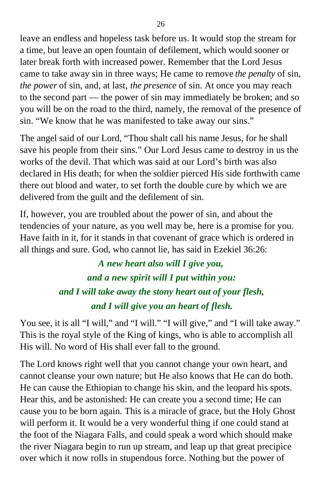leave an endless and hopeless task before us. It would stop the stream for a time, but leave an open fountain of defilement, which would sooner or later break forth with increased power. Remember that the Lord Jesus came to take away sin in three ways; He came to remove *the penalty* of sin, *the power* of sin, and, at last, *the presence* of sin. At once you may reach to the second part — the power of sin may immediately be broken; and so you will be on the road to the third, namely, the removal of the presence of sin. "We know that he was manifested to take away our sins."

The angel said of our Lord, "Thou shalt call his name Jesus, for he shall save his people from their sins." Our Lord Jesus came to destroy in us the works of the devil. That which was said at our Lord's birth was also declared in His death; for when the soldier pierced His side forthwith came there out blood and water, to set forth the double cure by which we are delivered from the guilt and the defilement of sin.

If, however, you are troubled about the power of sin, and about the tendencies of your nature, as you well may be, here is a promise for you. Have faith in it, for it stands in that covenant of grace which is ordered in all things and sure. God, who cannot lie, has said in Ezekiel 36:26:

> *A new heart also will I give you, and a new spirit will I put within you: and I will take away the stony heart out of your flesh, and I will give you an heart of flesh.*

You see, it is all "I will," and "I will." "I will give," and "I will take away." This is the royal style of the King of kings, who is able to accomplish all His will. No word of His shall ever fall to the ground.

The Lord knows right well that you cannot change your own heart, and cannot cleanse your own nature; but He also knows that He can do both. He can cause the Ethiopian to change his skin, and the leopard his spots. Hear this, and be astonished: He can create you a second time; He can cause you to be born again. This is a miracle of grace, but the Holy Ghost will perform it. It would be a very wonderful thing if one could stand at the foot of the Niagara Falls, and could speak a word which should make the river Niagara begin to run up stream, and leap up that great precipice over which it now rolls in stupendous force. Nothing but the power of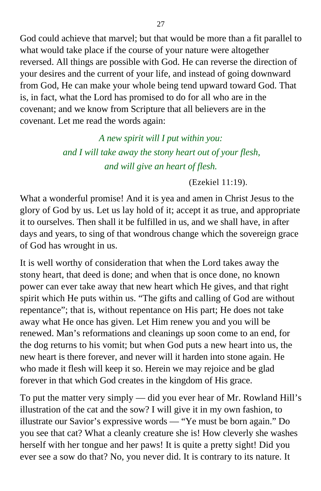God could achieve that marvel; but that would be more than a fit parallel to what would take place if the course of your nature were altogether reversed. All things are possible with God. He can reverse the direction of your desires and the current of your life, and instead of going downward from God, He can make your whole being tend upward toward God. That is, in fact, what the Lord has promised to do for all who are in the covenant; and we know from Scripture that all believers are in the covenant. Let me read the words again:

> *A new spirit will I put within you: and I will take away the stony heart out of your flesh, and will give an heart of flesh.*

> > (Ezekiel 11:19).

What a wonderful promise! And it is yea and amen in Christ Jesus to the glory of God by us. Let us lay hold of it; accept it as true, and appropriate it to ourselves. Then shall it be fulfilled in us, and we shall have, in after days and years, to sing of that wondrous change which the sovereign grace of God has wrought in us.

It is well worthy of consideration that when the Lord takes away the stony heart, that deed is done; and when that is once done, no known power can ever take away that new heart which He gives, and that right spirit which He puts within us. "The gifts and calling of God are without repentance"; that is, without repentance on His part; He does not take away what He once has given. Let Him renew you and you will be renewed. Man's reformations and cleanings up soon come to an end, for the dog returns to his vomit; but when God puts a new heart into us, the new heart is there forever, and never will it harden into stone again. He who made it flesh will keep it so. Herein we may rejoice and be glad forever in that which God creates in the kingdom of His grace.

To put the matter very simply — did you ever hear of Mr. Rowland Hill's illustration of the cat and the sow? I will give it in my own fashion, to illustrate our Savior's expressive words — "Ye must be born again." Do you see that cat? What a cleanly creature she is! How cleverly she washes herself with her tongue and her paws! It is quite a pretty sight! Did you ever see a sow do that? No, you never did. It is contrary to its nature. It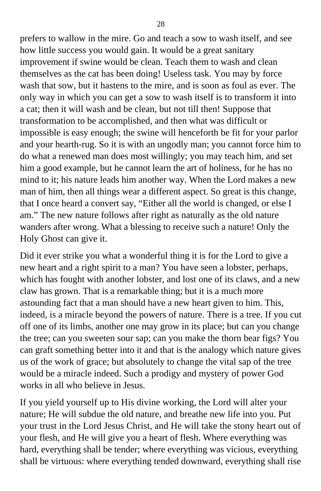prefers to wallow in the mire. Go and teach a sow to wash itself, and see how little success you would gain. It would be a great sanitary improvement if swine would be clean. Teach them to wash and clean themselves as the cat has been doing! Useless task. You may by force wash that sow, but it hastens to the mire, and is soon as foul as ever. The only way in which you can get a sow to wash itself is to transform it into a cat; then it will wash and be clean, but not till then! Suppose that transformation to be accomplished, and then what was difficult or impossible is easy enough; the swine will henceforth be fit for your parlor and your hearth-rug. So it is with an ungodly man; you cannot force him to do what a renewed man does most willingly; you may teach him, and set him a good example, but he cannot learn the art of holiness, for he has no mind to it; his nature leads him another way. When the Lord makes a new man of him, then all things wear a different aspect. So great is this change, that I once heard a convert say, "Either all the world is changed, or else I am." The new nature follows after right as naturally as the old nature wanders after wrong. What a blessing to receive such a nature! Only the Holy Ghost can give it.

Did it ever strike you what a wonderful thing it is for the Lord to give a new heart and a right spirit to a man? You have seen a lobster, perhaps, which has fought with another lobster, and lost one of its claws, and a new claw has grown. That is a remarkable thing; but it is a much more astounding fact that a man should have a new heart given to him. This, indeed, is a miracle beyond the powers of nature. There is a tree. If you cut off one of its limbs, another one may grow in its place; but can you change the tree; can you sweeten sour sap; can you make the thorn bear figs? You can graft something better into it and that is the analogy which nature gives us of the work of grace; but absolutely to change the vital sap of the tree would be a miracle indeed. Such a prodigy and mystery of power God works in all who believe in Jesus.

If you yield yourself up to His divine working, the Lord will alter your nature; He will subdue the old nature, and breathe new life into you. Put your trust in the Lord Jesus Christ, and He will take the stony heart out of your flesh, and He will give you a heart of flesh. Where everything was hard, everything shall be tender; where everything was vicious, everything shall be virtuous: where everything tended downward, everything shall rise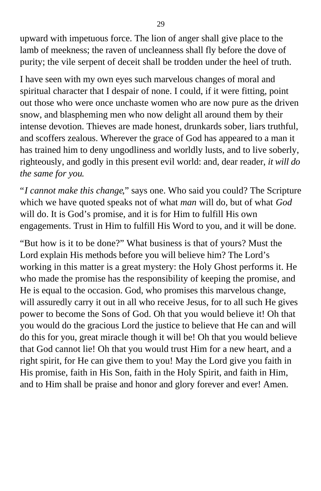upward with impetuous force. The lion of anger shall give place to the lamb of meekness; the raven of uncleanness shall fly before the dove of purity; the vile serpent of deceit shall be trodden under the heel of truth.

I have seen with my own eyes such marvelous changes of moral and spiritual character that I despair of none. I could, if it were fitting, point out those who were once unchaste women who are now pure as the driven snow, and blaspheming men who now delight all around them by their intense devotion. Thieves are made honest, drunkards sober, liars truthful, and scoffers zealous. Wherever the grace of God has appeared to a man it has trained him to deny ungodliness and worldly lusts, and to live soberly, righteously, and godly in this present evil world: and, dear reader, *it will do the same for you*.

"*I cannot make this change*," says one. Who said you could? The Scripture which we have quoted speaks not of what *man* will do, but of what *God* will do. It is God's promise, and it is for Him to fulfill His own engagements. Trust in Him to fulfill His Word to you, and it will be done.

"But how is it to be done?" What business is that of yours? Must the Lord explain His methods before you will believe him? The Lord's working in this matter is a great mystery: the Holy Ghost performs it. He who made the promise has the responsibility of keeping the promise, and He is equal to the occasion. God, who promises this marvelous change, will assuredly carry it out in all who receive Jesus, for to all such He gives power to become the Sons of God. Oh that you would believe it! Oh that you would do the gracious Lord the justice to believe that He can and will do this for you, great miracle though it will be! Oh that you would believe that God cannot lie! Oh that you would trust Him for a new heart, and a right spirit, for He can give them to you! May the Lord give you faith in His promise, faith in His Son, faith in the Holy Spirit, and faith in Him, and to Him shall be praise and honor and glory forever and ever! Amen.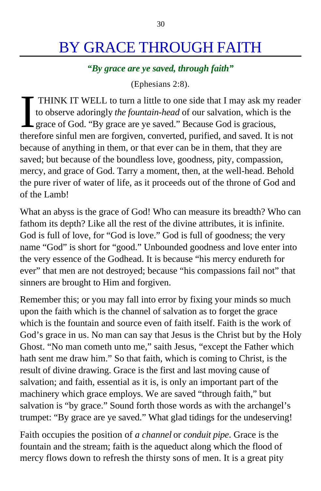## BY GRACE THROUGH FAITH

#### *"By grace are ye saved, through faith"*

(Ephesians 2:8).

 THINK IT WELL to turn a little to one side that I may ask my reader to observe adoringly *the fountain-head* of our salvation, which is the L grace of God. "By grace are ye saved." Because God is gracious, therefore sinful men are forgiven, converted, purified, and saved. It is not because of anything in them, or that ever can be in them, that they are saved; but because of the boundless love, goodness, pity, compassion, mercy, and grace of God. Tarry a moment, then, at the well-head. Behold the pure river of water of life, as it proceeds out of the throne of God and of the Lamb! I

What an abyss is the grace of God! Who can measure its breadth? Who can fathom its depth? Like all the rest of the divine attributes, it is infinite. God is full of love, for "God is love." God is full of goodness; the very name "God" is short for "good." Unbounded goodness and love enter into the very essence of the Godhead. It is because "his mercy endureth for ever" that men are not destroyed; because "his compassions fail not" that sinners are brought to Him and forgiven.

Remember this; or you may fall into error by fixing your minds so much upon the faith which is the channel of salvation as to forget the grace which is the fountain and source even of faith itself. Faith is the work of God's grace in us. No man can say that Jesus is the Christ but by the Holy Ghost. "No man cometh unto me," saith Jesus, "except the Father which hath sent me draw him." So that faith, which is coming to Christ, is the result of divine drawing. Grace is the first and last moving cause of salvation; and faith, essential as it is, is only an important part of the machinery which grace employs. We are saved "through faith," but salvation is "by grace." Sound forth those words as with the archangel's trumpet: "By grace are ye saved." What glad tidings for the undeserving!

Faith occupies the position of *a channel* or *conduit pipe*. Grace is the fountain and the stream; faith is the aqueduct along which the flood of mercy flows down to refresh the thirsty sons of men. It is a great pity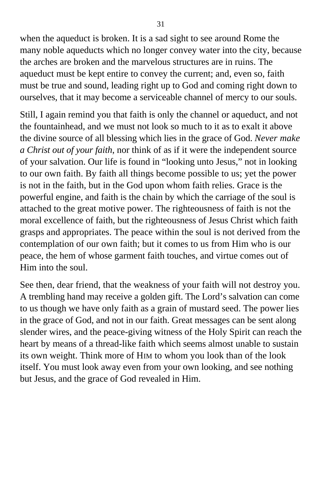when the aqueduct is broken. It is a sad sight to see around Rome the many noble aqueducts which no longer convey water into the city, because the arches are broken and the marvelous structures are in ruins. The aqueduct must be kept entire to convey the current; and, even so, faith must be true and sound, leading right up to God and coming right down to ourselves, that it may become a serviceable channel of mercy to our souls.

Still, I again remind you that faith is only the channel or aqueduct, and not the fountainhead, and we must not look so much to it as to exalt it above the divine source of all blessing which lies in the grace of God. *Never make a Christ out of your faith*, nor think of as if it were the independent source of your salvation. Our life is found in "looking unto Jesus," not in looking to our own faith. By faith all things become possible to us; yet the power is not in the faith, but in the God upon whom faith relies. Grace is the powerful engine, and faith is the chain by which the carriage of the soul is attached to the great motive power. The righteousness of faith is not the moral excellence of faith, but the righteousness of Jesus Christ which faith grasps and appropriates. The peace within the soul is not derived from the contemplation of our own faith; but it comes to us from Him who is our peace, the hem of whose garment faith touches, and virtue comes out of Him into the soul.

See then, dear friend, that the weakness of your faith will not destroy you. A trembling hand may receive a golden gift. The Lord's salvation can come to us though we have only faith as a grain of mustard seed. The power lies in the grace of God, and not in our faith. Great messages can be sent along slender wires, and the peace-giving witness of the Holy Spirit can reach the heart by means of a thread-like faith which seems almost unable to sustain its own weight. Think more of HIM to whom you look than of the look itself. You must look away even from your own looking, and see nothing but Jesus, and the grace of God revealed in Him.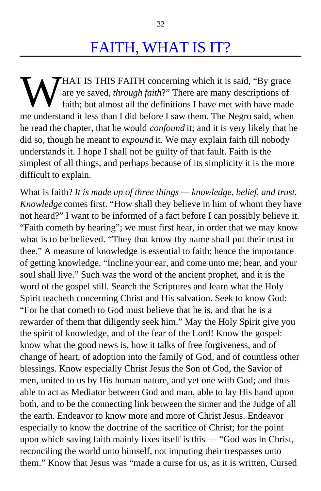# FAITH, WHAT IS IT?

HAT IS THIS FAITH concerning which it is said, "By grace are ye saved, *through faith*?" There are many descriptions of faith; but almost all the definitions I have met with have made me understand it less than I did before I saw them. The Negro said, when he read the chapter, that he would *confound* it; and it is very likely that he did so, though he meant to *expound* it. We may explain faith till nobody understands it. I hope I shall not be guilty of that fault. Faith is the simplest of all things, and perhaps because of its simplicity it is the more difficult to explain. W

What is faith? *It is made up of three things — knowledge, belief, and trust*. *Knowledge* comes first. "How shall they believe in him of whom they have not heard?" I want to be informed of a fact before I can possibly believe it. "Faith cometh by hearing"; we must first hear, in order that we may know what is to be believed. "They that know thy name shall put their trust in thee." A measure of knowledge is essential to faith; hence the importance of getting knowledge. "Incline your ear, and come unto me; hear, and your soul shall live." Such was the word of the ancient prophet, and it is the word of the gospel still. Search the Scriptures and learn what the Holy Spirit teacheth concerning Christ and His salvation. Seek to know God: "For he that cometh to God must believe that he is, and that he is a rewarder of them that diligently seek him." May the Holy Spirit give you the spirit of knowledge, and of the fear of the Lord! Know the gospel: know what the good news is, how it talks of free forgiveness, and of change of heart, of adoption into the family of God, and of countless other blessings. Know especially Christ Jesus the Son of God, the Savior of men, united to us by His human nature, and yet one with God; and thus able to act as Mediator between God and man, able to lay His hand upon both, and to be the connecting link between the sinner and the Judge of all the earth. Endeavor to know more and more of Christ Jesus. Endeavor especially to know the doctrine of the sacrifice of Christ; for the point upon which saving faith mainly fixes itself is this — "God was in Christ, reconciling the world unto himself, not imputing their trespasses unto them." Know that Jesus was "made a curse for us, as it is written, Cursed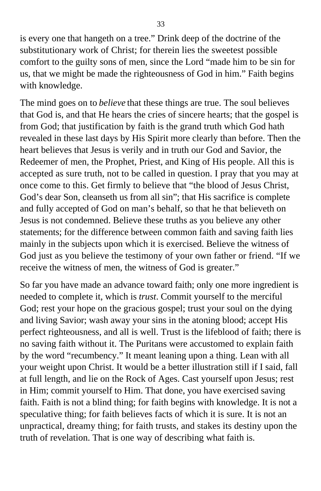is every one that hangeth on a tree." Drink deep of the doctrine of the substitutionary work of Christ; for therein lies the sweetest possible comfort to the guilty sons of men, since the Lord "made him to be sin for us, that we might be made the righteousness of God in him." Faith begins with knowledge.

The mind goes on to *believe* that these things are true. The soul believes that God is, and that He hears the cries of sincere hearts; that the gospel is from God; that justification by faith is the grand truth which God hath revealed in these last days by His Spirit more clearly than before. Then the heart believes that Jesus is verily and in truth our God and Savior, the Redeemer of men, the Prophet, Priest, and King of His people. All this is accepted as sure truth, not to be called in question. I pray that you may at once come to this. Get firmly to believe that "the blood of Jesus Christ, God's dear Son, cleanseth us from all sin"; that His sacrifice is complete and fully accepted of God on man's behalf, so that he that believeth on Jesus is not condemned. Believe these truths as you believe any other statements; for the difference between common faith and saving faith lies mainly in the subjects upon which it is exercised. Believe the witness of God just as you believe the testimony of your own father or friend. "If we receive the witness of men, the witness of God is greater."

So far you have made an advance toward faith; only one more ingredient is needed to complete it, which is *trust*. Commit yourself to the merciful God; rest your hope on the gracious gospel; trust your soul on the dying and living Savior; wash away your sins in the atoning blood; accept His perfect righteousness, and all is well. Trust is the lifeblood of faith; there is no saving faith without it. The Puritans were accustomed to explain faith by the word "recumbency." It meant leaning upon a thing. Lean with all your weight upon Christ. It would be a better illustration still if I said, fall at full length, and lie on the Rock of Ages. Cast yourself upon Jesus; rest in Him; commit yourself to Him. That done, you have exercised saving faith. Faith is not a blind thing; for faith begins with knowledge. It is not a speculative thing; for faith believes facts of which it is sure. It is not an unpractical, dreamy thing; for faith trusts, and stakes its destiny upon the truth of revelation. That is one way of describing what faith is.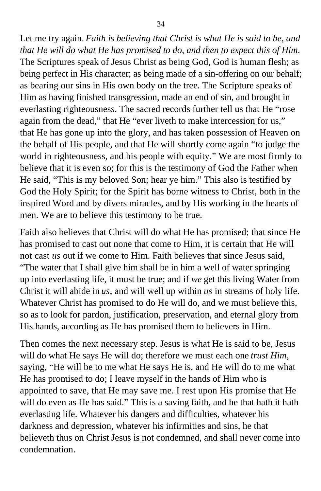Let me try again. *Faith is believing that Christ is what He is said to be, and that He will do what He has promised to do, and then to expect this of Him*. The Scriptures speak of Jesus Christ as being God, God is human flesh; as being perfect in His character; as being made of a sin-offering on our behalf; as bearing our sins in His own body on the tree. The Scripture speaks of Him as having finished transgression, made an end of sin, and brought in everlasting righteousness. The sacred records further tell us that He "rose again from the dead," that He "ever liveth to make intercession for us," that He has gone up into the glory, and has taken possession of Heaven on the behalf of His people, and that He will shortly come again "to judge the world in righteousness, and his people with equity." We are most firmly to believe that it is even so; for this is the testimony of God the Father when He said, "This is my beloved Son; hear ye him." This also is testified by God the Holy Spirit; for the Spirit has borne witness to Christ, both in the inspired Word and by divers miracles, and by His working in the hearts of men. We are to believe this testimony to be true.

Faith also believes that Christ will do what He has promised; that since He has promised to cast out none that come to Him, it is certain that He will not cast *us* out if we come to Him. Faith believes that since Jesus said, "The water that I shall give him shall be in him a well of water springing up into everlasting life, it must be true; and if *we* get this living Water from Christ it will abide in *us*, and will well up within *us* in streams of holy life. Whatever Christ has promised to do He will do, and we must believe this, so as to look for pardon, justification, preservation, and eternal glory from His hands, according as He has promised them to believers in Him.

Then comes the next necessary step. Jesus is what He is said to be, Jesus will do what He says He will do; therefore we must each one *trust Him*, saying, "He will be to me what He says He is, and He will do to me what He has promised to do; I leave myself in the hands of Him who is appointed to save, that He may save me. I rest upon His promise that He will do even as He has said." This is a saving faith, and he that hath it hath everlasting life. Whatever his dangers and difficulties, whatever his darkness and depression, whatever his infirmities and sins, he that believeth thus on Christ Jesus is not condemned, and shall never come into condemnation.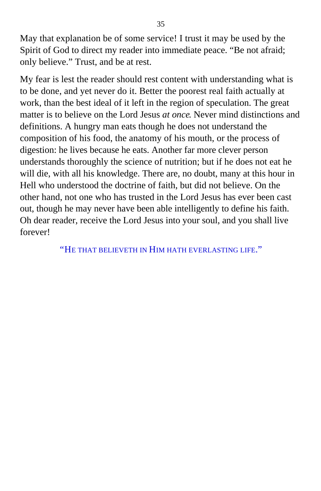May that explanation be of some service! I trust it may be used by the Spirit of God to direct my reader into immediate peace. "Be not afraid; only believe." Trust, and be at rest.

My fear is lest the reader should rest content with understanding what is to be done, and yet never do it. Better the poorest real faith actually at work, than the best ideal of it left in the region of speculation. The great matter is to believe on the Lord Jesus *at once*. Never mind distinctions and definitions. A hungry man eats though he does not understand the composition of his food, the anatomy of his mouth, or the process of digestion: he lives because he eats. Another far more clever person understands thoroughly the science of nutrition; but if he does not eat he will die, with all his knowledge. There are, no doubt, many at this hour in Hell who understood the doctrine of faith, but did not believe. On the other hand, not one who has trusted in the Lord Jesus has ever been cast out, though he may never have been able intelligently to define his faith. Oh dear reader, receive the Lord Jesus into your soul, and you shall live forever!

"HE THAT BELIEVETH IN HIM HATH EVERLASTING LIFE."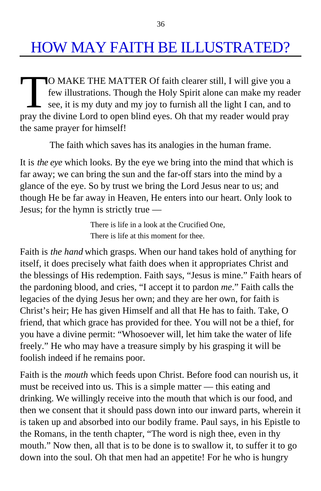## HOW MAY FAITH BE ILLUSTRATED?

O MAKE THE MATTER Of faith clearer still, I will give you a few illustrations. Though the Holy Spirit alone can make my reader see, it is my duty and my joy to furnish all the light I can, and to pray the divine Lord to open blind eyes. Oh that my reader would pray the same prayer for himself!  $\prod_{\text{new the}}$ 

The faith which saves has its analogies in the human frame.

It is *the eye* which looks. By the eye we bring into the mind that which is far away; we can bring the sun and the far-off stars into the mind by a glance of the eye. So by trust we bring the Lord Jesus near to us; and though He be far away in Heaven, He enters into our heart. Only look to Jesus; for the hymn is strictly true —

> There is life in a look at the Crucified One, There is life at this moment for thee.

Faith is *the hand* which grasps. When our hand takes hold of anything for itself, it does precisely what faith does when it appropriates Christ and the blessings of His redemption. Faith says, "Jesus is mine." Faith hears of the pardoning blood, and cries, "I accept it to pardon *me*." Faith calls the legacies of the dying Jesus her own; and they are her own, for faith is Christ's heir; He has given Himself and all that He has to faith. Take, O friend, that which grace has provided for thee. You will not be a thief, for you have a divine permit: "Whosoever will, let him take the water of life freely." He who may have a treasure simply by his grasping it will be foolish indeed if he remains poor.

Faith is the *mouth* which feeds upon Christ. Before food can nourish us, it must be received into us. This is a simple matter — this eating and drinking. We willingly receive into the mouth that which is our food, and then we consent that it should pass down into our inward parts, wherein it is taken up and absorbed into our bodily frame. Paul says, in his Epistle to the Romans, in the tenth chapter, "The word is nigh thee, even in thy mouth." Now then, all that is to be done is to swallow it, to suffer it to go down into the soul. Oh that men had an appetite! For he who is hungry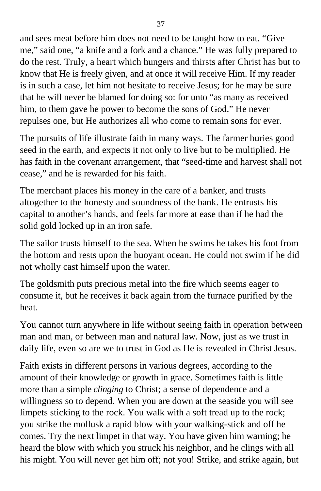and sees meat before him does not need to be taught how to eat. "Give me," said one, "a knife and a fork and a chance." He was fully prepared to do the rest. Truly, a heart which hungers and thirsts after Christ has but to know that He is freely given, and at once it will receive Him. If my reader is in such a case, let him not hesitate to receive Jesus; for he may be sure that he will never be blamed for doing so: for unto "as many as received him, to them gave he power to become the sons of God." He never repulses one, but He authorizes all who come to remain sons for ever.

The pursuits of life illustrate faith in many ways. The farmer buries good seed in the earth, and expects it not only to live but to be multiplied. He has faith in the covenant arrangement, that "seed-time and harvest shall not cease," and he is rewarded for his faith.

The merchant places his money in the care of a banker, and trusts altogether to the honesty and soundness of the bank. He entrusts his capital to another's hands, and feels far more at ease than if he had the solid gold locked up in an iron safe.

The sailor trusts himself to the sea. When he swims he takes his foot from the bottom and rests upon the buoyant ocean. He could not swim if he did not wholly cast himself upon the water.

The goldsmith puts precious metal into the fire which seems eager to consume it, but he receives it back again from the furnace purified by the heat.

You cannot turn anywhere in life without seeing faith in operation between man and man, or between man and natural law. Now, just as we trust in daily life, even so are we to trust in God as He is revealed in Christ Jesus.

Faith exists in different persons in various degrees, according to the amount of their knowledge or growth in grace. Sometimes faith is little more than a simple *clinging* to Christ; a sense of dependence and a willingness so to depend. When you are down at the seaside you will see limpets sticking to the rock. You walk with a soft tread up to the rock; you strike the mollusk a rapid blow with your walking-stick and off he comes. Try the next limpet in that way. You have given him warning; he heard the blow with which you struck his neighbor, and he clings with all his might. You will never get him off; not you! Strike, and strike again, but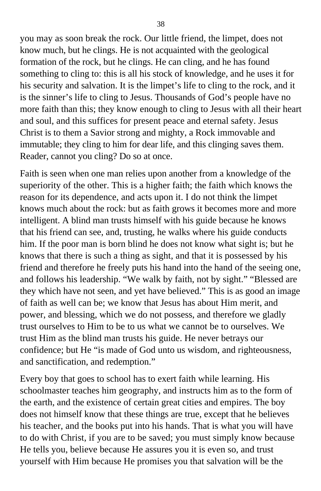you may as soon break the rock. Our little friend, the limpet, does not know much, but he clings. He is not acquainted with the geological formation of the rock, but he clings. He can cling, and he has found something to cling to: this is all his stock of knowledge, and he uses it for his security and salvation. It is the limpet's life to cling to the rock, and it is the sinner's life to cling to Jesus. Thousands of God's people have no more faith than this; they know enough to cling to Jesus with all their heart and soul, and this suffices for present peace and eternal safety. Jesus Christ is to them a Savior strong and mighty, a Rock immovable and immutable; they cling to him for dear life, and this clinging saves them. Reader, cannot you cling? Do so at once.

Faith is seen when one man relies upon another from a knowledge of the superiority of the other. This is a higher faith; the faith which knows the reason for its dependence, and acts upon it. I do not think the limpet knows much about the rock: but as faith grows it becomes more and more intelligent. A blind man trusts himself with his guide because he knows that his friend can see, and, trusting, he walks where his guide conducts him. If the poor man is born blind he does not know what sight is; but he knows that there is such a thing as sight, and that it is possessed by his friend and therefore he freely puts his hand into the hand of the seeing one, and follows his leadership. "We walk by faith, not by sight." "Blessed are they which have not seen, and yet have believed." This is as good an image of faith as well can be; we know that Jesus has about Him merit, and power, and blessing, which we do not possess, and therefore we gladly trust ourselves to Him to be to us what we cannot be to ourselves. We trust Him as the blind man trusts his guide. He never betrays our confidence; but He "is made of God unto us wisdom, and righteousness, and sanctification, and redemption."

Every boy that goes to school has to exert faith while learning. His schoolmaster teaches him geography, and instructs him as to the form of the earth, and the existence of certain great cities and empires. The boy does not himself know that these things are true, except that he believes his teacher, and the books put into his hands. That is what you will have to do with Christ, if you are to be saved; you must simply know because He tells you, believe because He assures you it is even so, and trust yourself with Him because He promises you that salvation will be the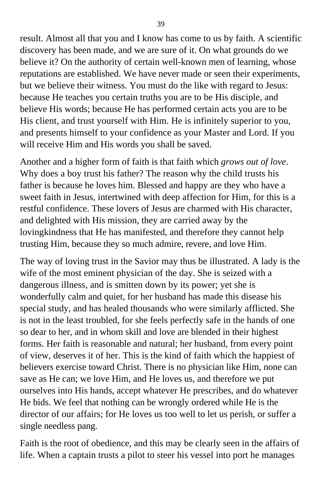result. Almost all that you and I know has come to us by faith. A scientific discovery has been made, and we are sure of it. On what grounds do we believe it? On the authority of certain well-known men of learning, whose reputations are established. We have never made or seen their experiments, but we believe their witness. You must do the like with regard to Jesus: because He teaches you certain truths you are to be His disciple, and believe His words; because He has performed certain acts you are to be His client, and trust yourself with Him. He is infinitely superior to you, and presents himself to your confidence as your Master and Lord. If you will receive Him and His words you shall be saved.

Another and a higher form of faith is that faith which *grows out of love*. Why does a boy trust his father? The reason why the child trusts his father is because he loves him. Blessed and happy are they who have a sweet faith in Jesus, intertwined with deep affection for Him, for this is a restful confidence. These lovers of Jesus are charmed with His character, and delighted with His mission, they are carried away by the lovingkindness that He has manifested, and therefore they cannot help trusting Him, because they so much admire, revere, and love Him.

The way of loving trust in the Savior may thus be illustrated. A lady is the wife of the most eminent physician of the day. She is seized with a dangerous illness, and is smitten down by its power; yet she is wonderfully calm and quiet, for her husband has made this disease his special study, and has healed thousands who were similarly afflicted. She is not in the least troubled, for she feels perfectly safe in the hands of one so dear to her, and in whom skill and love are blended in their highest forms. Her faith is reasonable and natural; her husband, from every point of view, deserves it of her. This is the kind of faith which the happiest of believers exercise toward Christ. There is no physician like Him, none can save as He can; we love Him, and He loves us, and therefore we put ourselves into His hands, accept whatever He prescribes, and do whatever He bids. We feel that nothing can be wrongly ordered while He is the director of our affairs; for He loves us too well to let us perish, or suffer a single needless pang.

Faith is the root of obedience, and this may be clearly seen in the affairs of life. When a captain trusts a pilot to steer his vessel into port he manages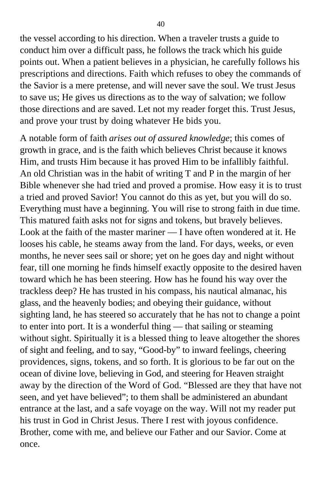the vessel according to his direction. When a traveler trusts a guide to conduct him over a difficult pass, he follows the track which his guide points out. When a patient believes in a physician, he carefully follows his prescriptions and directions. Faith which refuses to obey the commands of the Savior is a mere pretense, and will never save the soul. We trust Jesus to save us; He gives us directions as to the way of salvation; we follow those directions and are saved. Let not my reader forget this. Trust Jesus, and prove your trust by doing whatever He bids you.

A notable form of faith *arises out of assured knowledge*; this comes of growth in grace, and is the faith which believes Christ because it knows Him, and trusts Him because it has proved Him to be infallibly faithful. An old Christian was in the habit of writing T and P in the margin of her Bible whenever she had tried and proved a promise. How easy it is to trust a tried and proved Savior! You cannot do this as yet, but you will do so. Everything must have a beginning. You will rise to strong faith in due time. This matured faith asks not for signs and tokens, but bravely believes. Look at the faith of the master mariner — I have often wondered at it. He looses his cable, he steams away from the land. For days, weeks, or even months, he never sees sail or shore; yet on he goes day and night without fear, till one morning he finds himself exactly opposite to the desired haven toward which he has been steering. How has he found his way over the trackless deep? He has trusted in his compass, his nautical almanac, his glass, and the heavenly bodies; and obeying their guidance, without sighting land, he has steered so accurately that he has not to change a point to enter into port. It is a wonderful thing — that sailing or steaming without sight. Spiritually it is a blessed thing to leave altogether the shores of sight and feeling, and to say, "Good-by" to inward feelings, cheering providences, signs, tokens, and so forth. It is glorious to be far out on the ocean of divine love, believing in God, and steering for Heaven straight away by the direction of the Word of God. "Blessed are they that have not seen, and yet have believed"; to them shall be administered an abundant entrance at the last, and a safe voyage on the way. Will not my reader put his trust in God in Christ Jesus. There I rest with joyous confidence. Brother, come with me, and believe our Father and our Savior. Come at once.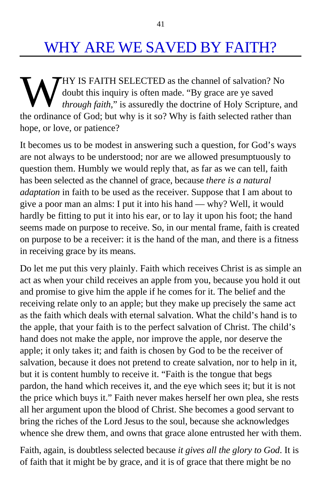## WHY ARE WE SAVED BY FAITH?

HY IS FAITH SELECTED as the channel of salvation? No doubt this inquiry is often made. "By grace are ye saved *through faith*," is assuredly the doctrine of Holy Scripture, and the ordinance of God; but why is it so? Why is faith selected rather than hope, or love, or patience? W

It becomes us to be modest in answering such a question, for God's ways are not always to be understood; nor are we allowed presumptuously to question them. Humbly we would reply that, as far as we can tell, faith has been selected as the channel of grace, because *there is a natural adaptation* in faith to be used as the receiver. Suppose that I am about to give a poor man an alms: I put it into his hand — why? Well, it would hardly be fitting to put it into his ear, or to lay it upon his foot; the hand seems made on purpose to receive. So, in our mental frame, faith is created on purpose to be a receiver: it is the hand of the man, and there is a fitness in receiving grace by its means.

Do let me put this very plainly. Faith which receives Christ is as simple an act as when your child receives an apple from you, because you hold it out and promise to give him the apple if he comes for it. The belief and the receiving relate only to an apple; but they make up precisely the same act as the faith which deals with eternal salvation. What the child's hand is to the apple, that your faith is to the perfect salvation of Christ. The child's hand does not make the apple, nor improve the apple, nor deserve the apple; it only takes it; and faith is chosen by God to be the receiver of salvation, because it does not pretend to create salvation, nor to help in it, but it is content humbly to receive it. "Faith is the tongue that begs pardon, the hand which receives it, and the eye which sees it; but it is not the price which buys it." Faith never makes herself her own plea, she rests all her argument upon the blood of Christ. She becomes a good servant to bring the riches of the Lord Jesus to the soul, because she acknowledges whence she drew them, and owns that grace alone entrusted her with them.

Faith, again, is doubtless selected because *it gives all the glory to God*. It is of faith that it might be by grace, and it is of grace that there might be no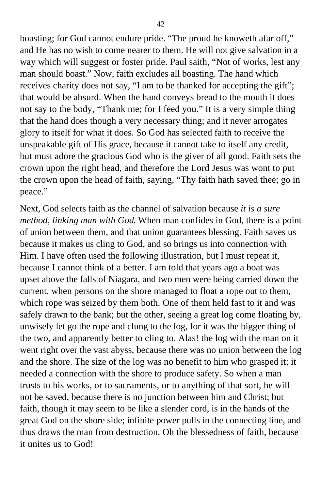boasting; for God cannot endure pride. "The proud he knoweth afar off," and He has no wish to come nearer to them. He will not give salvation in a way which will suggest or foster pride. Paul saith, "Not of works, lest any man should boast." Now, faith excludes all boasting. The hand which receives charity does not say, "I am to be thanked for accepting the gift"; that would be absurd. When the hand conveys bread to the mouth it does not say to the body, "Thank me; for I feed you." It is a very simple thing that the hand does though a very necessary thing; and it never arrogates glory to itself for what it does. So God has selected faith to receive the unspeakable gift of His grace, because it cannot take to itself any credit, but must adore the gracious God who is the giver of all good. Faith sets the crown upon the right head, and therefore the Lord Jesus was wont to put the crown upon the head of faith, saying, "Thy faith hath saved thee; go in peace."

Next, God selects faith as the channel of salvation because *it is a sure method, linking man with God*. When man confides in God, there is a point of union between them, and that union guarantees blessing. Faith saves us because it makes us cling to God, and so brings us into connection with Him. I have often used the following illustration, but I must repeat it, because I cannot think of a better. I am told that years ago a boat was upset above the falls of Niagara, and two men were being carried down the current, when persons on the shore managed to float a rope out to them, which rope was seized by them both. One of them held fast to it and was safely drawn to the bank; but the other, seeing a great log come floating by, unwisely let go the rope and clung to the log, for it was the bigger thing of the two, and apparently better to cling to. Alas! the log with the man on it went right over the vast abyss, because there was no union between the log and the shore. The size of the log was no benefit to him who grasped it; it needed a connection with the shore to produce safety. So when a man trusts to his works, or to sacraments, or to anything of that sort, he will not be saved, because there is no junction between him and Christ; but faith, though it may seem to be like a slender cord, is in the hands of the great God on the shore side; infinite power pulls in the connecting line, and thus draws the man from destruction. Oh the blessedness of faith, because it unites us to God!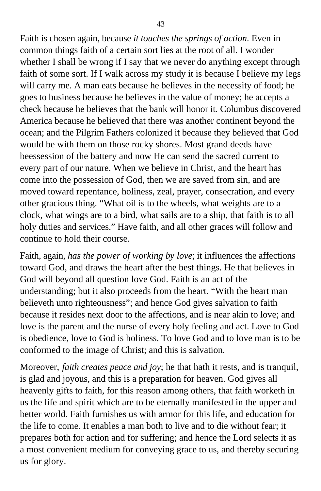Faith is chosen again, because *it touches the springs of action*. Even in common things faith of a certain sort lies at the root of all. I wonder whether I shall be wrong if I say that we never do anything except through faith of some sort. If I walk across my study it is because I believe my legs will carry me. A man eats because he believes in the necessity of food; he goes to business because he believes in the value of money; he accepts a check because he believes that the bank will honor it. Columbus discovered America because he believed that there was another continent beyond the ocean; and the Pilgrim Fathers colonized it because they believed that God would be with them on those rocky shores. Most grand deeds have beessession of the battery and now He can send the sacred current to every part of our nature. When we believe in Christ, and the heart has come into the possession of God, then we are saved from sin, and are moved toward repentance, holiness, zeal, prayer, consecration, and every other gracious thing. "What oil is to the wheels, what weights are to a clock, what wings are to a bird, what sails are to a ship, that faith is to all holy duties and services." Have faith, and all other graces will follow and continue to hold their course.

Faith, again, *has the power of working by love*; it influences the affections toward God, and draws the heart after the best things. He that believes in God will beyond all question love God. Faith is an act of the understanding; but it also proceeds from the heart. "With the heart man believeth unto righteousness"; and hence God gives salvation to faith because it resides next door to the affections, and is near akin to love; and love is the parent and the nurse of every holy feeling and act. Love to God is obedience, love to God is holiness. To love God and to love man is to be conformed to the image of Christ; and this is salvation.

Moreover, *faith creates peace and joy*; he that hath it rests, and is tranquil, is glad and joyous, and this is a preparation for heaven. God gives all heavenly gifts to faith, for this reason among others, that faith worketh in us the life and spirit which are to be eternally manifested in the upper and better world. Faith furnishes us with armor for this life, and education for the life to come. It enables a man both to live and to die without fear; it prepares both for action and for suffering; and hence the Lord selects it as a most convenient medium for conveying grace to us, and thereby securing us for glory.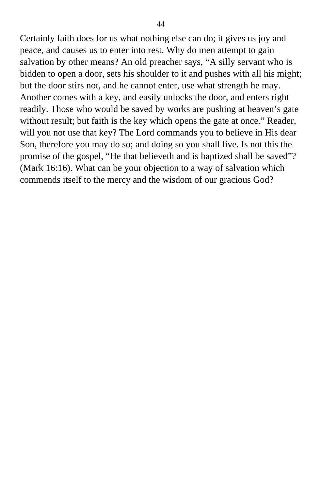Certainly faith does for us what nothing else can do; it gives us joy and peace, and causes us to enter into rest. Why do men attempt to gain salvation by other means? An old preacher says, "A silly servant who is bidden to open a door, sets his shoulder to it and pushes with all his might; but the door stirs not, and he cannot enter, use what strength he may. Another comes with a key, and easily unlocks the door, and enters right readily. Those who would be saved by works are pushing at heaven's gate without result; but faith is the key which opens the gate at once." Reader, will you not use that key? The Lord commands you to believe in His dear Son, therefore you may do so; and doing so you shall live. Is not this the promise of the gospel, "He that believeth and is baptized shall be saved"? (Mark 16:16). What can be your objection to a way of salvation which commends itself to the mercy and the wisdom of our gracious God?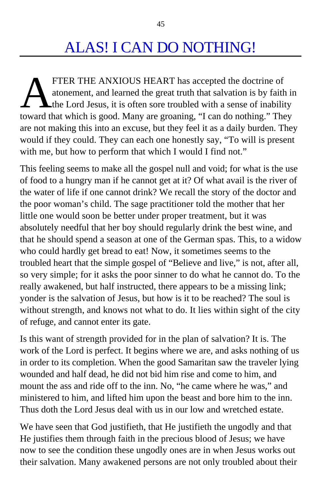# ALAS! I CAN DO NOTHING!

FTER THE ANXIOUS HEART has accepted the doctrine of atonement, and learned the great truth that salvation is by faith in the Lord Jesus, it is often sore troubled with a sense of inability toward that which is good. Many are groaning, "I can do nothing." They are not making this into an excuse, but they feel it as a daily burden. They would if they could. They can each one honestly say, "To will is present with me, but how to perform that which I would I find not." A

This feeling seems to make all the gospel null and void; for what is the use of food to a hungry man if he cannot get at it? Of what avail is the river of the water of life if one cannot drink? We recall the story of the doctor and the poor woman's child. The sage practitioner told the mother that her little one would soon be better under proper treatment, but it was absolutely needful that her boy should regularly drink the best wine, and that he should spend a season at one of the German spas. This, to a widow who could hardly get bread to eat! Now, it sometimes seems to the troubled heart that the simple gospel of "Believe and live," is not, after all, so very simple; for it asks the poor sinner to do what he cannot do. To the really awakened, but half instructed, there appears to be a missing link; yonder is the salvation of Jesus, but how is it to be reached? The soul is without strength, and knows not what to do. It lies within sight of the city of refuge, and cannot enter its gate.

Is this want of strength provided for in the plan of salvation? It is. The work of the Lord is perfect. It begins where we are, and asks nothing of us in order to its completion. When the good Samaritan saw the traveler lying wounded and half dead, he did not bid him rise and come to him, and mount the ass and ride off to the inn. No, "he came where he was," and ministered to him, and lifted him upon the beast and bore him to the inn. Thus doth the Lord Jesus deal with us in our low and wretched estate.

We have seen that God justifieth, that He justifieth the ungodly and that He justifies them through faith in the precious blood of Jesus; we have now to see the condition these ungodly ones are in when Jesus works out their salvation. Many awakened persons are not only troubled about their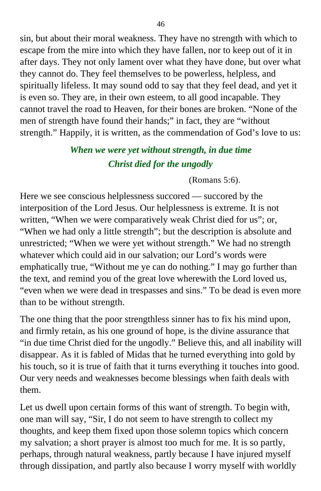sin, but about their moral weakness. They have no strength with which to escape from the mire into which they have fallen, nor to keep out of it in after days. They not only lament over what they have done, but over what they cannot do. They feel themselves to be powerless, helpless, and spiritually lifeless. It may sound odd to say that they feel dead, and yet it is even so. They are, in their own esteem, to all good incapable. They cannot travel the road to Heaven, for their bones are broken. "None of the men of strength have found their hands;" in fact, they are "without strength." Happily, it is written, as the commendation of God's love to us:

### *When we were yet without strength, in due time Christ died for the ungodly*

(Romans 5:6).

Here we see conscious helplessness succored — succored by the interposition of the Lord Jesus. Our helplessness is extreme. It is not written, "When we were comparatively weak Christ died for us"; or, "When we had only a little strength"; but the description is absolute and unrestricted; "When we were yet without strength." We had no strength whatever which could aid in our salvation; our Lord's words were emphatically true, "Without me ye can do nothing." I may go further than the text, and remind you of the great love wherewith the Lord loved us, "even when we were dead in trespasses and sins." To be dead is even more than to be without strength.

The one thing that the poor strengthless sinner has to fix his mind upon, and firmly retain, as his one ground of hope, is the divine assurance that "in due time Christ died for the ungodly." Believe this, and all inability will disappear. As it is fabled of Midas that he turned everything into gold by his touch, so it is true of faith that it turns everything it touches into good. Our very needs and weaknesses become blessings when faith deals with them.

Let us dwell upon certain forms of this want of strength. To begin with, one man will say, "Sir, I do not seem to have strength to collect my thoughts, and keep them fixed upon those solemn topics which concern my salvation; a short prayer is almost too much for me. It is so partly, perhaps, through natural weakness, partly because I have injured myself through dissipation, and partly also because I worry myself with worldly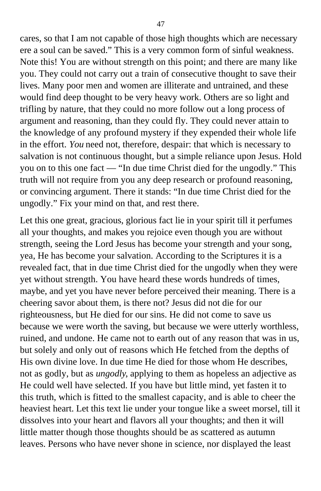cares, so that I am not capable of those high thoughts which are necessary ere a soul can be saved." This is a very common form of sinful weakness. Note this! You are without strength on this point; and there are many like you. They could not carry out a train of consecutive thought to save their lives. Many poor men and women are illiterate and untrained, and these would find deep thought to be very heavy work. Others are so light and trifling by nature, that they could no more follow out a long process of argument and reasoning, than they could fly. They could never attain to the knowledge of any profound mystery if they expended their whole life in the effort. *You* need not, therefore, despair: that which is necessary to salvation is not continuous thought, but a simple reliance upon Jesus. Hold you on to this one fact — "In due time Christ died for the ungodly." This truth will not require from you any deep research or profound reasoning, or convincing argument. There it stands: "In due time Christ died for the ungodly." Fix your mind on that, and rest there.

Let this one great, gracious, glorious fact lie in your spirit till it perfumes all your thoughts, and makes you rejoice even though you are without strength, seeing the Lord Jesus has become your strength and your song, yea, He has become your salvation. According to the Scriptures it is a revealed fact, that in due time Christ died for the ungodly when they were yet without strength. You have heard these words hundreds of times, maybe, and yet you have never before perceived their meaning. There is a cheering savor about them, is there not? Jesus did not die for our righteousness, but He died for our sins. He did not come to save us because we were worth the saving, but because we were utterly worthless, ruined, and undone. He came not to earth out of any reason that was in us, but solely and only out of reasons which He fetched from the depths of His own divine love. In due time He died for those whom He describes, not as godly, but as *ungodly*, applying to them as hopeless an adjective as He could well have selected. If you have but little mind, yet fasten it to this truth, which is fitted to the smallest capacity, and is able to cheer the heaviest heart. Let this text lie under your tongue like a sweet morsel, till it dissolves into your heart and flavors all your thoughts; and then it will little matter though those thoughts should be as scattered as autumn leaves. Persons who have never shone in science, nor displayed the least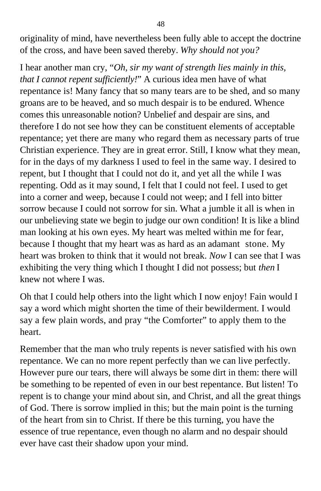originality of mind, have nevertheless been fully able to accept the doctrine of the cross, and have been saved thereby. *Why should not you?*

I hear another man cry, "*Oh, sir my want of strength lies mainly in this, that I cannot repent sufficiently!*" A curious idea men have of what repentance is! Many fancy that so many tears are to be shed, and so many groans are to be heaved, and so much despair is to be endured. Whence comes this unreasonable notion? Unbelief and despair are sins, and therefore I do not see how they can be constituent elements of acceptable repentance; yet there are many who regard them as necessary parts of true Christian experience. They are in great error. Still, I know what they mean, for in the days of my darkness I used to feel in the same way. I desired to repent, but I thought that I could not do it, and yet all the while I was repenting. Odd as it may sound, I felt that I could not feel. I used to get into a corner and weep, because I could not weep; and I fell into bitter sorrow because I could not sorrow for sin. What a jumble it all is when in our unbelieving state we begin to judge our own condition! It is like a blind man looking at his own eyes. My heart was melted within me for fear, because I thought that my heart was as hard as an adamant stone. My heart was broken to think that it would not break. *Now* I can see that I was exhibiting the very thing which I thought I did not possess; but *then* I knew not where I was.

Oh that I could help others into the light which I now enjoy! Fain would I say a word which might shorten the time of their bewilderment. I would say a few plain words, and pray "the Comforter" to apply them to the heart.

Remember that the man who truly repents is never satisfied with his own repentance. We can no more repent perfectly than we can live perfectly. However pure our tears, there will always be some dirt in them: there will be something to be repented of even in our best repentance. But listen! To repent is to change your mind about sin, and Christ, and all the great things of God. There is sorrow implied in this; but the main point is the turning of the heart from sin to Christ. If there be this turning, you have the essence of true repentance, even though no alarm and no despair should ever have cast their shadow upon your mind.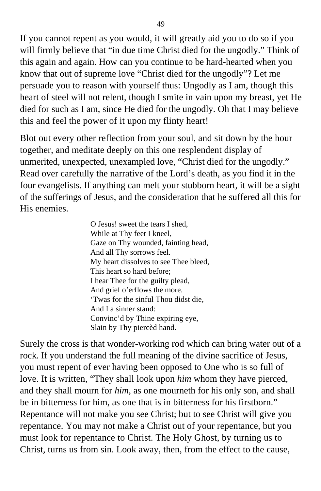If you cannot repent as you would, it will greatly aid you to do so if you will firmly believe that "in due time Christ died for the ungodly." Think of this again and again. How can you continue to be hard-hearted when you know that out of supreme love "Christ died for the ungodly"? Let me persuade you to reason with yourself thus: Ungodly as I am, though this heart of steel will not relent, though I smite in vain upon my breast, yet He died for such as I am, since He died for the ungodly. Oh that I may believe this and feel the power of it upon my flinty heart!

Blot out every other reflection from your soul, and sit down by the hour together, and meditate deeply on this one resplendent display of unmerited, unexpected, unexampled love, "Christ died for the ungodly." Read over carefully the narrative of the Lord's death, as you find it in the four evangelists. If anything can melt your stubborn heart, it will be a sight of the sufferings of Jesus, and the consideration that he suffered all this for His enemies.

> O Jesus! sweet the tears I shed, While at Thy feet I kneel, Gaze on Thy wounded, fainting head, And all Thy sorrows feel. My heart dissolves to see Thee bleed, This heart so hard before; I hear Thee for the guilty plead, And grief o'erflows the more. 'Twas for the sinful Thou didst die, And I a sinner stand: Convinc'd by Thine expiring eye, Slain by Thy piercèd hand.

Surely the cross is that wonder-working rod which can bring water out of a rock. If you understand the full meaning of the divine sacrifice of Jesus, you must repent of ever having been opposed to One who is so full of love. It is written, "They shall look upon *him* whom they have pierced, and they shall mourn for *him*, as one mourneth for his only son, and shall be in bitterness for him, as one that is in bitterness for his firstborn." Repentance will not make you see Christ; but to see Christ will give you repentance. You may not make a Christ out of your repentance, but you must look for repentance to Christ. The Holy Ghost, by turning us to Christ, turns us from sin. Look away, then, from the effect to the cause,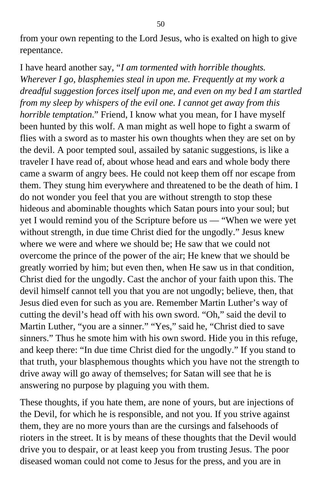from your own repenting to the Lord Jesus, who is exalted on high to give repentance.

I have heard another say, "*I am tormented with horrible thoughts. Wherever I go, blasphemies steal in upon me. Frequently at my work a dreadful suggestion forces itself upon me, and even on my bed I am startled from my sleep by whispers of the evil one. I cannot get away from this horrible temptation*." Friend, I know what you mean, for I have myself been hunted by this wolf. A man might as well hope to fight a swarm of flies with a sword as to master his own thoughts when they are set on by the devil. A poor tempted soul, assailed by satanic suggestions, is like a traveler I have read of, about whose head and ears and whole body there came a swarm of angry bees. He could not keep them off nor escape from them. They stung him everywhere and threatened to be the death of him. I do not wonder you feel that you are without strength to stop these hideous and abominable thoughts which Satan pours into your soul; but yet I would remind you of the Scripture before us — "When we were yet without strength, in due time Christ died for the ungodly." Jesus knew where we were and where we should be; He saw that we could not overcome the prince of the power of the air; He knew that we should be greatly worried by him; but even then, when He saw us in that condition, Christ died for the ungodly. Cast the anchor of your faith upon this. The devil himself cannot tell you that you are not ungodly; believe, then, that Jesus died even for such as you are. Remember Martin Luther's way of cutting the devil's head off with his own sword. "Oh," said the devil to Martin Luther, "you are a sinner." "Yes," said he, "Christ died to save sinners." Thus he smote him with his own sword. Hide you in this refuge, and keep there: "In due time Christ died for the ungodly." If you stand to that truth, your blasphemous thoughts which you have not the strength to drive away will go away of themselves; for Satan will see that he is answering no purpose by plaguing you with them.

These thoughts, if you hate them, are none of yours, but are injections of the Devil, for which he is responsible, and not you. If you strive against them, they are no more yours than are the cursings and falsehoods of rioters in the street. It is by means of these thoughts that the Devil would drive you to despair, or at least keep you from trusting Jesus. The poor diseased woman could not come to Jesus for the press, and you are in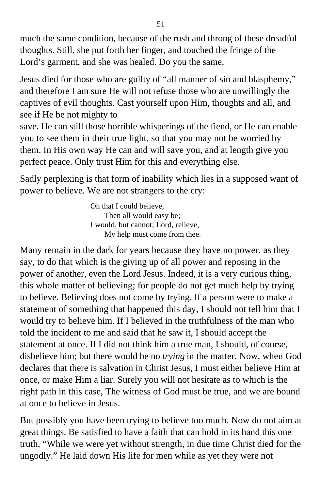much the same condition, because of the rush and throng of these dreadful thoughts. Still, she put forth her finger, and touched the fringe of the Lord's garment, and she was healed. Do you the same.

Jesus died for those who are guilty of "all manner of sin and blasphemy," and therefore I am sure He will not refuse those who are unwillingly the captives of evil thoughts. Cast yourself upon Him, thoughts and all, and see if He be not mighty to

save. He can still those horrible whisperings of the fiend, or He can enable you to see them in their true light, so that you may not be worried by them. In His own way He can and will save you, and at length give you perfect peace. Only trust Him for this and everything else.

Sadly perplexing is that form of inability which lies in a supposed want of power to believe. We are not strangers to the cry:

> Oh that I could believe, Then all would easy be; I would, but cannot; Lord, relieve, My help must come from thee.

Many remain in the dark for years because they have no power, as they say, to do that which is the giving up of all power and reposing in the power of another, even the Lord Jesus. Indeed, it is a very curious thing, this whole matter of believing; for people do not get much help by trying to believe. Believing does not come by trying. If a person were to make a statement of something that happened this day, I should not tell him that I would try to believe him. If I believed in the truthfulness of the man who told the incident to me and said that he saw it, I should accept the statement at once. If I did not think him a true man, I should, of course, disbelieve him; but there would be no *trying* in the matter. Now, when God declares that there is salvation in Christ Jesus, I must either believe Him at once, or make Him a liar. Surely you will not hesitate as to which is the right path in this case, The witness of God must be true, and we are bound at once to believe in Jesus.

But possibly you have been trying to believe too much. Now do not aim at great things. Be satisfied to have a faith that can hold in its hand this one truth, "While we were yet without strength, in due time Christ died for the ungodly." He laid down His life for men while as yet they were not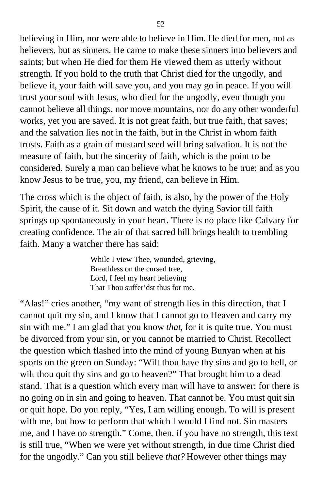believing in Him, nor were able to believe in Him. He died for men, not as believers, but as sinners. He came to make these sinners into believers and saints; but when He died for them He viewed them as utterly without strength. If you hold to the truth that Christ died for the ungodly, and believe it, your faith will save you, and you may go in peace. If you will trust your soul with Jesus, who died for the ungodly, even though you cannot believe all things, nor move mountains, nor do any other wonderful works, yet you are saved. It is not great faith, but true faith, that saves; and the salvation lies not in the faith, but in the Christ in whom faith trusts. Faith as a grain of mustard seed will bring salvation. It is not the measure of faith, but the sincerity of faith, which is the point to be considered. Surely a man can believe what he knows to be true; and as you know Jesus to be true, you, my friend, can believe in Him.

The cross which is the object of faith, is also, by the power of the Holy Spirit, the cause of it. Sit down and watch the dying Savior till faith springs up spontaneously in your heart. There is no place like Calvary for creating confidence. The air of that sacred hill brings health to trembling faith. Many a watcher there has said:

> While I view Thee, wounded, grieving, Breathless on the cursed tree, Lord, I feel my heart believing That Thou suffer'dst thus for me.

"Alas!" cries another, "my want of strength lies in this direction, that I cannot quit my sin, and I know that I cannot go to Heaven and carry my sin with me." I am glad that you know *that*, for it is quite true. You must be divorced from your sin, or you cannot be married to Christ. Recollect the question which flashed into the mind of young Bunyan when at his sports on the green on Sunday: "Wilt thou have thy sins and go to hell, or wilt thou quit thy sins and go to heaven?" That brought him to a dead stand. That is a question which every man will have to answer: for there is no going on in sin and going to heaven. That cannot be. You must quit sin or quit hope. Do you reply, "Yes, I am willing enough. To will is present with me, but how to perform that which l would I find not. Sin masters me, and I have no strength." Come, then, if you have no strength, this text is still true, "When we were yet without strength, in due time Christ died for the ungodly." Can you still believe *that?* However other things may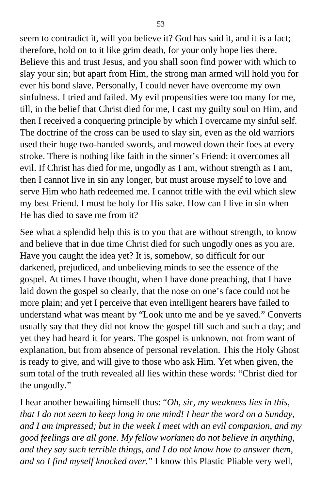seem to contradict it, will you believe it? God has said it, and it is a fact; therefore, hold on to it like grim death, for your only hope lies there. Believe this and trust Jesus, and you shall soon find power with which to slay your sin; but apart from Him, the strong man armed will hold you for ever his bond slave. Personally, I could never have overcome my own sinfulness. I tried and failed. My evil propensities were too many for me, till, in the belief that Christ died for me, I cast my guilty soul on Him, and then I received a conquering principle by which I overcame my sinful self. The doctrine of the cross can be used to slay sin, even as the old warriors used their huge two-handed swords, and mowed down their foes at every stroke. There is nothing like faith in the sinner's Friend: it overcomes all evil. If Christ has died for me, ungodly as I am, without strength as I am, then I cannot live in sin any longer, but must arouse myself to love and serve Him who hath redeemed me. I cannot trifle with the evil which slew my best Friend. I must be holy for His sake. How can I live in sin when He has died to save me from it?

See what a splendid help this is to you that are without strength, to know and believe that in due time Christ died for such ungodly ones as you are. Have you caught the idea yet? It is, somehow, so difficult for our darkened, prejudiced, and unbelieving minds to see the essence of the gospel. At times I have thought, when I have done preaching, that I have laid down the gospel so clearly, that the nose on one's face could not be more plain; and yet I perceive that even intelligent hearers have failed to understand what was meant by "Look unto me and be ye saved." Converts usually say that they did not know the gospel till such and such a day; and yet they had heard it for years. The gospel is unknown, not from want of explanation, but from absence of personal revelation. This the Holy Ghost is ready to give, and will give to those who ask Him. Yet when given, the sum total of the truth revealed all lies within these words: "Christ died for the ungodly."

I hear another bewailing himself thus: "*Oh, sir, my weakness lies in this, that I do not seem to keep long in one mind! I hear the word on a Sunday, and I am impressed; but in the week I meet with an evil companion, and my good feelings are all gone. My fellow workmen do not believe in anything, and they say such terrible things, and I do not know how to answer them, and so I find myself knocked over.*" I know this Plastic Pliable very well,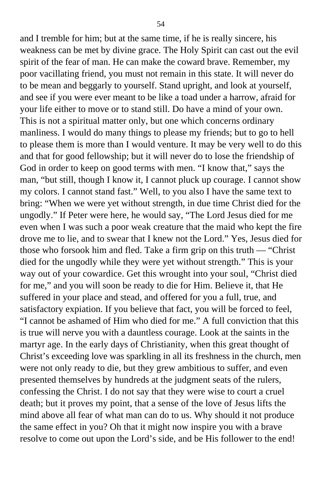and I tremble for him; but at the same time, if he is really sincere, his weakness can be met by divine grace. The Holy Spirit can cast out the evil spirit of the fear of man. He can make the coward brave. Remember, my poor vacillating friend, you must not remain in this state. It will never do to be mean and beggarly to yourself. Stand upright, and look at yourself, and see if you were ever meant to be like a toad under a harrow, afraid for your life either to move or to stand still. Do have a mind of your own. This is not a spiritual matter only, but one which concerns ordinary manliness. I would do many things to please my friends; but to go to hell to please them is more than I would venture. It may be very well to do this and that for good fellowship; but it will never do to lose the friendship of God in order to keep on good terms with men. "I know that," says the man, "but still, though I know it, I cannot pluck up courage. I cannot show my colors. I cannot stand fast." Well, to you also I have the same text to bring: "When we were yet without strength, in due time Christ died for the ungodly." If Peter were here, he would say, "The Lord Jesus died for me even when I was such a poor weak creature that the maid who kept the fire drove me to lie, and to swear that I knew not the Lord." Yes, Jesus died for those who forsook him and fled. Take a firm grip on this truth — "Christ died for the ungodly while they were yet without strength." This is your way out of your cowardice. Get this wrought into your soul, "Christ died for me," and you will soon be ready to die for Him. Believe it, that He suffered in your place and stead, and offered for you a full, true, and satisfactory expiation. If you believe that fact, you will be forced to feel, "I cannot be ashamed of Him who died for me." A full conviction that this is true will nerve you with a dauntless courage. Look at the saints in the martyr age. In the early days of Christianity, when this great thought of Christ's exceeding love was sparkling in all its freshness in the church, men were not only ready to die, but they grew ambitious to suffer, and even presented themselves by hundreds at the judgment seats of the rulers, confessing the Christ. I do not say that they were wise to court a cruel death; but it proves my point, that a sense of the love of Jesus lifts the mind above all fear of what man can do to us. Why should it not produce the same effect in you? Oh that it might now inspire you with a brave resolve to come out upon the Lord's side, and be His follower to the end!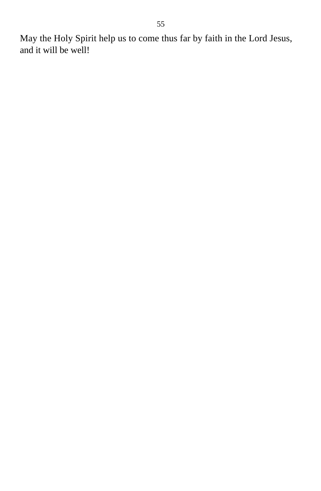May the Holy Spirit help us to come thus far by faith in the Lord Jesus, and it will be well!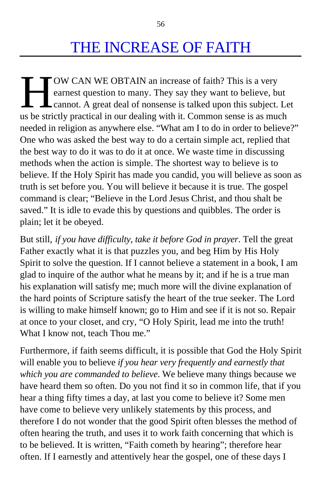## THE INCREASE OF FAITH

OW CAN WE OBTAIN an increase of faith? This is a very earnest question to many. They say they want to believe, but cannot. A great deal of nonsense is talked upon this subject. Let US COW CAN WE OBTAIN an increase of faith? This is a very earnest question to many. They say they want to believe, but cannot. A great deal of nonsense is talked upon this subject. Lus be strictly practical in our dealing needed in religion as anywhere else. "What am I to do in order to believe?" One who was asked the best way to do a certain simple act, replied that the best way to do it was to do it at once. We waste time in discussing methods when the action is simple. The shortest way to believe is to believe. If the Holy Spirit has made you candid, you will believe as soon as truth is set before you. You will believe it because it is true. The gospel command is clear; "Believe in the Lord Jesus Christ, and thou shalt be saved." It is idle to evade this by questions and quibbles. The order is plain; let it be obeyed.

But still, *if you have difficulty, take it before God in prayer*. Tell the great Father exactly what it is that puzzles you, and beg Him by His Holy Spirit to solve the question. If I cannot believe a statement in a book, I am glad to inquire of the author what he means by it; and if he is a true man his explanation will satisfy me; much more will the divine explanation of the hard points of Scripture satisfy the heart of the true seeker. The Lord is willing to make himself known; go to Him and see if it is not so. Repair at once to your closet, and cry, "O Holy Spirit, lead me into the truth! What I know not, teach Thou me."

Furthermore, if faith seems difficult, it is possible that God the Holy Spirit will enable you to believe *if you hear very frequently and earnestly that which you are commanded to believe*. We believe many things because we have heard them so often. Do you not find it so in common life, that if you hear a thing fifty times a day, at last you come to believe it? Some men have come to believe very unlikely statements by this process, and therefore I do not wonder that the good Spirit often blesses the method of often hearing the truth, and uses it to work faith concerning that which is to be believed. It is written, "Faith cometh by hearing"; therefore hear often. If I earnestly and attentively hear the gospel, one of these days I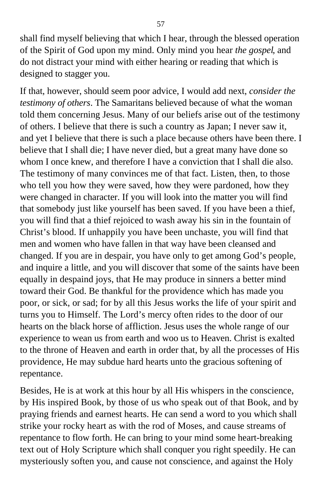shall find myself believing that which I hear, through the blessed operation of the Spirit of God upon my mind. Only mind you hear *the gospel*, and do not distract your mind with either hearing or reading that which is designed to stagger you.

If that, however, should seem poor advice, I would add next, *consider the testimony of others*. The Samaritans believed because of what the woman told them concerning Jesus. Many of our beliefs arise out of the testimony of others. I believe that there is such a country as Japan; I never saw it, and yet I believe that there is such a place because others have been there. I believe that I shall die; I have never died, but a great many have done so whom I once knew, and therefore I have a conviction that I shall die also. The testimony of many convinces me of that fact. Listen, then, to those who tell you how they were saved, how they were pardoned, how they were changed in character. If you will look into the matter you will find that somebody just like yourself has been saved. If you have been a thief, you will find that a thief rejoiced to wash away his sin in the fountain of Christ's blood. If unhappily you have been unchaste, you will find that men and women who have fallen in that way have been cleansed and changed. If you are in despair, you have only to get among God's people, and inquire a little, and you will discover that some of the saints have been equally in despaind joys, that He may produce in sinners a better mind toward their God. Be thankful for the providence which has made you poor, or sick, or sad; for by all this Jesus works the life of your spirit and turns you to Himself. The Lord's mercy often rides to the door of our hearts on the black horse of affliction. Jesus uses the whole range of our experience to wean us from earth and woo us to Heaven. Christ is exalted to the throne of Heaven and earth in order that, by all the processes of His providence, He may subdue hard hearts unto the gracious softening of repentance.

Besides, He is at work at this hour by all His whispers in the conscience, by His inspired Book, by those of us who speak out of that Book, and by praying friends and earnest hearts. He can send a word to you which shall strike your rocky heart as with the rod of Moses, and cause streams of repentance to flow forth. He can bring to your mind some heart-breaking text out of Holy Scripture which shall conquer you right speedily. He can mysteriously soften you, and cause not conscience, and against the Holy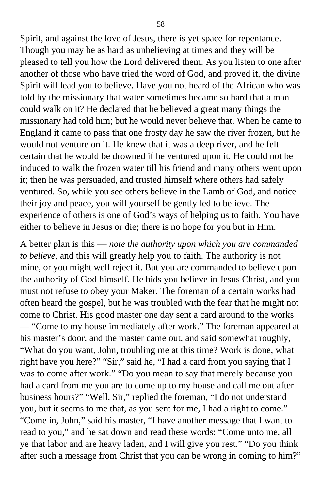Spirit, and against the love of Jesus, there is yet space for repentance. Though you may be as hard as unbelieving at times and they will be pleased to tell you how the Lord delivered them. As you listen to one after another of those who have tried the word of God, and proved it, the divine Spirit will lead you to believe. Have you not heard of the African who was told by the missionary that water sometimes became so hard that a man could walk on it? He declared that he believed a great many things the missionary had told him; but he would never believe that. When he came to England it came to pass that one frosty day he saw the river frozen, but he would not venture on it. He knew that it was a deep river, and he felt certain that he would be drowned if he ventured upon it. He could not be induced to walk the frozen water till his friend and many others went upon it; then he was persuaded, and trusted himself where others had safely ventured. So, while you see others believe in the Lamb of God, and notice their joy and peace, you will yourself be gently led to believe. The experience of others is one of God's ways of helping us to faith. You have either to believe in Jesus or die; there is no hope for you but in Him.

A better plan is this — *note the authority upon which you are commanded to believe*, and this will greatly help you to faith. The authority is not mine, or you might well reject it. But you are commanded to believe upon the authority of God himself. He bids you believe in Jesus Christ, and you must not refuse to obey your Maker. The foreman of a certain works had often heard the gospel, but he was troubled with the fear that he might not come to Christ. His good master one day sent a card around to the works — "Come to my house immediately after work." The foreman appeared at his master's door, and the master came out, and said somewhat roughly, "What do you want, John, troubling me at this time? Work is done, what right have you here?" "Sir," said he, "I had a card from you saying that I was to come after work." "Do you mean to say that merely because you had a card from me you are to come up to my house and call me out after business hours?" "Well, Sir," replied the foreman, "I do not understand you, but it seems to me that, as you sent for me, I had a right to come." "Come in, John," said his master, "I have another message that I want to read to you," and he sat down and read these words: "Come unto me, all ye that labor and are heavy laden, and I will give you rest." "Do you think after such a message from Christ that you can be wrong in coming to him?"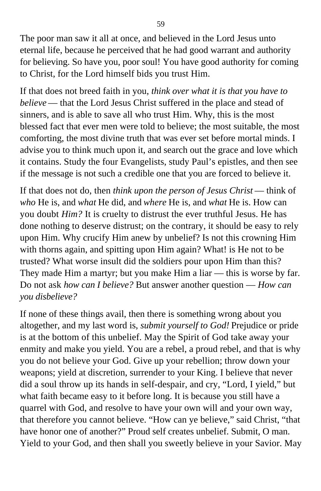The poor man saw it all at once, and believed in the Lord Jesus unto eternal life, because he perceived that he had good warrant and authority for believing. So have you, poor soul! You have good authority for coming to Christ, for the Lord himself bids you trust Him.

If that does not breed faith in you, *think over what it is that you have to believe* — that the Lord Jesus Christ suffered in the place and stead of sinners, and is able to save all who trust Him. Why, this is the most blessed fact that ever men were told to believe; the most suitable, the most comforting, the most divine truth that was ever set before mortal minds. I advise you to think much upon it, and search out the grace and love which it contains. Study the four Evangelists, study Paul's epistles, and then see if the message is not such a credible one that you are forced to believe it.

If that does not do, then *think upon the person of Jesus Christ* — think of *who* He is, and *what* He did, and *where* He is, and *what* He is. How can you doubt *Him?* It is cruelty to distrust the ever truthful Jesus. He has done nothing to deserve distrust; on the contrary, it should be easy to rely upon Him. Why crucify Him anew by unbelief? Is not this crowning Him with thorns again, and spitting upon Him again? What! is He not to be trusted? What worse insult did the soldiers pour upon Him than this? They made Him a martyr; but you make Him a liar — this is worse by far. Do not ask *how can I believe?* But answer another question — *How can you disbelieve?*

If none of these things avail, then there is something wrong about you altogether, and my last word is, *submit yourself to God!* Prejudice or pride is at the bottom of this unbelief. May the Spirit of God take away your enmity and make you yield. You are a rebel, a proud rebel, and that is why you do not believe your God. Give up your rebellion; throw down your weapons; yield at discretion, surrender to your King. I believe that never did a soul throw up its hands in self-despair, and cry, "Lord, I yield," but what faith became easy to it before long. It is because you still have a quarrel with God, and resolve to have your own will and your own way, that therefore you cannot believe. "How can ye believe," said Christ, "that have honor one of another?" Proud self creates unbelief. Submit, O man. Yield to your God, and then shall you sweetly believe in your Savior. May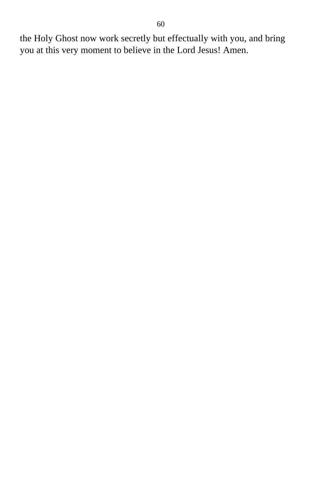the Holy Ghost now work secretly but effectually with you, and bring you at this very moment to believe in the Lord Jesus! Amen.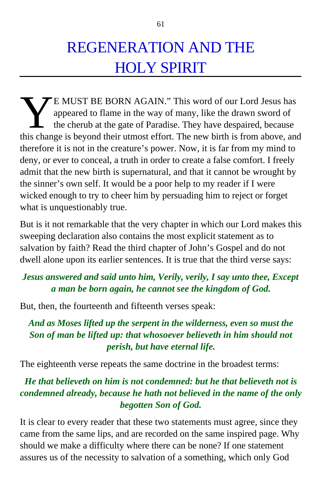## REGENERATION AND THE HOLY SPIRIT

E MUST BE BORN AGAIN." This word of our Lord Jesus has appeared to flame in the way of many, like the drawn sword of the cherub at the gate of Paradise. They have despaired, because E MUST BE BORN AGAIN." This word of our Lord Jesus has appeared to flame in the way of many, like the drawn sword of the cherub at the gate of Paradise. They have despaired, because this change is beyond their utmost effor therefore it is not in the creature's power. Now, it is far from my mind to deny, or ever to conceal, a truth in order to create a false comfort. I freely admit that the new birth is supernatural, and that it cannot be wrought by the sinner's own self. It would be a poor help to my reader if I were wicked enough to try to cheer him by persuading him to reject or forget what is unquestionably true.

But is it not remarkable that the very chapter in which our Lord makes this sweeping declaration also contains the most explicit statement as to salvation by faith? Read the third chapter of John's Gospel and do not dwell alone upon its earlier sentences. It is true that the third verse says:

#### *Jesus answered and said unto him, Verily, verily, I say unto thee, Except a man be born again, he cannot see the kingdom of God.*

But, then, the fourteenth and fifteenth verses speak:

*And as Moses lifted up the serpent in the wilderness, even so must the Son of man be lifted up: that whosoever believeth in him should not perish, but have eternal life.*

The eighteenth verse repeats the same doctrine in the broadest terms:

#### *He that believeth on him is not condemned: but he that believeth not is condemned already, because he hath not believed in the name of the only begotten Son of God.*

It is clear to every reader that these two statements must agree, since they came from the same lips, and are recorded on the same inspired page. Why should we make a difficulty where there can be none? If one statement assures us of the necessity to salvation of a something, which only God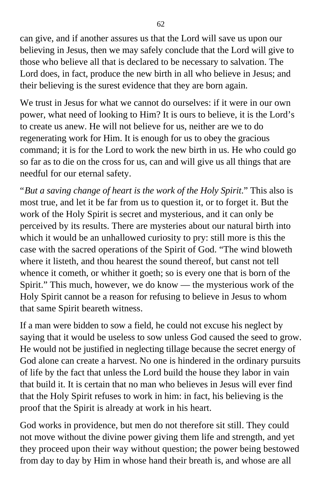can give, and if another assures us that the Lord will save us upon our believing in Jesus, then we may safely conclude that the Lord will give to those who believe all that is declared to be necessary to salvation. The Lord does, in fact, produce the new birth in all who believe in Jesus; and their believing is the surest evidence that they are born again.

We trust in Jesus for what we cannot do ourselves: if it were in our own power, what need of looking to Him? It is ours to believe, it is the Lord's to create us anew. He will not believe for us, neither are we to do regenerating work for Him. It is enough for us to obey the gracious command; it is for the Lord to work the new birth in us. He who could go so far as to die on the cross for us, can and will give us all things that are needful for our eternal safety.

"*But a saving change of heart is the work of the Holy Spirit*." This also is most true, and let it be far from us to question it, or to forget it. But the work of the Holy Spirit is secret and mysterious, and it can only be perceived by its results. There are mysteries about our natural birth into which it would be an unhallowed curiosity to pry: still more is this the case with the sacred operations of the Spirit of God. "The wind bloweth where it listeth, and thou hearest the sound thereof, but canst not tell whence it cometh, or whither it goeth; so is every one that is born of the Spirit." This much, however, we do know — the mysterious work of the Holy Spirit cannot be a reason for refusing to believe in Jesus to whom that same Spirit beareth witness.

If a man were bidden to sow a field, he could not excuse his neglect by saying that it would be useless to sow unless God caused the seed to grow. He would not be justified in neglecting tillage because the secret energy of God alone can create a harvest. No one is hindered in the ordinary pursuits of life by the fact that unless the Lord build the house they labor in vain that build it. It is certain that no man who believes in Jesus will ever find that the Holy Spirit refuses to work in him: in fact, his believing is the proof that the Spirit is already at work in his heart.

God works in providence, but men do not therefore sit still. They could not move without the divine power giving them life and strength, and yet they proceed upon their way without question; the power being bestowed from day to day by Him in whose hand their breath is, and whose are all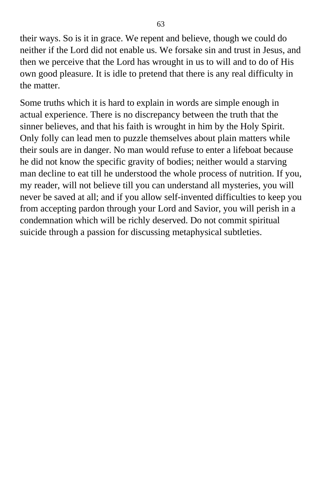their ways. So is it in grace. We repent and believe, though we could do neither if the Lord did not enable us. We forsake sin and trust in Jesus, and then we perceive that the Lord has wrought in us to will and to do of His own good pleasure. It is idle to pretend that there is any real difficulty in the matter.

Some truths which it is hard to explain in words are simple enough in actual experience. There is no discrepancy between the truth that the sinner believes, and that his faith is wrought in him by the Holy Spirit. Only folly can lead men to puzzle themselves about plain matters while their souls are in danger. No man would refuse to enter a lifeboat because he did not know the specific gravity of bodies; neither would a starving man decline to eat till he understood the whole process of nutrition. If you, my reader, will not believe till you can understand all mysteries, you will never be saved at all; and if you allow self-invented difficulties to keep you from accepting pardon through your Lord and Savior, you will perish in a condemnation which will be richly deserved. Do not commit spiritual suicide through a passion for discussing metaphysical subtleties.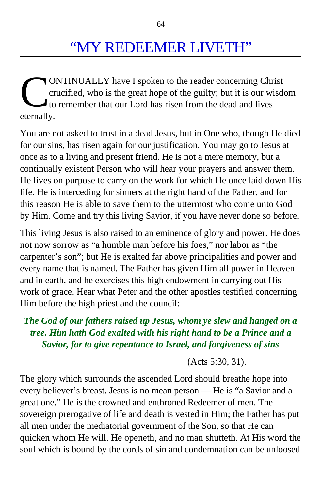### "MY REDEEMER LIVETH"

ONTINUALLY have I spoken to the reader concerning Christ crucified, who is the great hope of the guilty; but it is our wisdom to remember that our Lord has risen from the dead and lives eternally. C

You are not asked to trust in a dead Jesus, but in One who, though He died for our sins, has risen again for our justification. You may go to Jesus at once as to a living and present friend. He is not a mere memory, but a continually existent Person who will hear your prayers and answer them. He lives on purpose to carry on the work for which He once laid down His life. He is interceding for sinners at the right hand of the Father, and for this reason He is able to save them to the uttermost who come unto God by Him. Come and try this living Savior, if you have never done so before.

This living Jesus is also raised to an eminence of glory and power. He does not now sorrow as "a humble man before his foes," nor labor as "the carpenter's son"; but He is exalted far above principalities and power and every name that is named. The Father has given Him all power in Heaven and in earth, and he exercises this high endowment in carrying out His work of grace. Hear what Peter and the other apostles testified concerning Him before the high priest and the council:

#### *The God of our fathers raised up Jesus, whom ye slew and hanged on a tree. Him hath God exalted with his right hand to be a Prince and a Savior, for to give repentance to Israel, and forgiveness of sins*

(Acts 5:30, 31).

The glory which surrounds the ascended Lord should breathe hope into every believer's breast. Jesus is no mean person — He is "a Savior and a great one." He is the crowned and enthroned Redeemer of men. The sovereign prerogative of life and death is vested in Him; the Father has put all men under the mediatorial government of the Son, so that He can quicken whom He will. He openeth, and no man shutteth. At His word the soul which is bound by the cords of sin and condemnation can be unloosed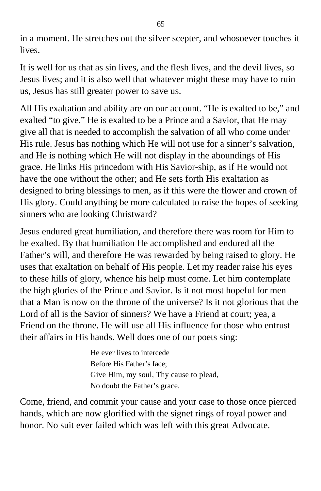in a moment. He stretches out the silver scepter, and whosoever touches it lives.

It is well for us that as sin lives, and the flesh lives, and the devil lives, so Jesus lives; and it is also well that whatever might these may have to ruin us, Jesus has still greater power to save us.

All His exaltation and ability are on our account. "He is exalted to be," and exalted "to give." He is exalted to be a Prince and a Savior, that He may give all that is needed to accomplish the salvation of all who come under His rule. Jesus has nothing which He will not use for a sinner's salvation, and He is nothing which He will not display in the aboundings of His grace. He links His princedom with His Savior-ship, as if He would not have the one without the other; and He sets forth His exaltation as designed to bring blessings to men, as if this were the flower and crown of His glory. Could anything be more calculated to raise the hopes of seeking sinners who are looking Christward?

Jesus endured great humiliation, and therefore there was room for Him to be exalted. By that humiliation He accomplished and endured all the Father's will, and therefore He was rewarded by being raised to glory. He uses that exaltation on behalf of His people. Let my reader raise his eyes to these hills of glory, whence his help must come. Let him contemplate the high glories of the Prince and Savior. Is it not most hopeful for men that a Man is now on the throne of the universe? Is it not glorious that the Lord of all is the Savior of sinners? We have a Friend at court; yea, a Friend on the throne. He will use all His influence for those who entrust their affairs in His hands. Well does one of our poets sing:

> He ever lives to intercede Before His Father's face; Give Him, my soul, Thy cause to plead, No doubt the Father's grace.

Come, friend, and commit your cause and your case to those once pierced hands, which are now glorified with the signet rings of royal power and honor. No suit ever failed which was left with this great Advocate.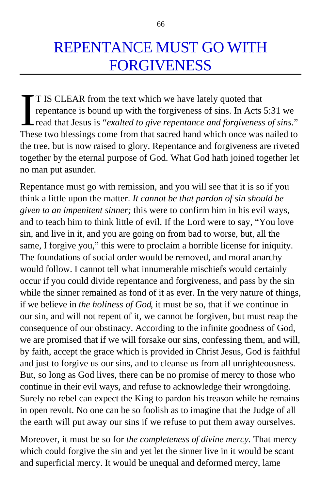### REPENTANCE MUST GO WITH FORGIVENESS

T IS CLEAR from the text which we have lately quoted that repentance is bound up with the forgiveness of sins. In Acts 5:31 we read that Jesus is "*exalted to give repentance and forgiveness of sins*." T IS CLEAR from the text which we have lately quoted that<br>repentance is bound up with the forgiveness of sins. In Acts 5:31 we<br>read that Jesus is "*exalted to give repentance and forgiveness of sins*."<br>These two blessings the tree, but is now raised to glory. Repentance and forgiveness are riveted together by the eternal purpose of God. What God hath joined together let no man put asunder.

Repentance must go with remission, and you will see that it is so if you think a little upon the matter. *It cannot be that pardon of sin should be given to an impenitent sinner;* this were to confirm him in his evil ways, and to teach him to think little of evil. If the Lord were to say, "You love sin, and live in it, and you are going on from bad to worse, but, all the same, I forgive you," this were to proclaim a horrible license for iniquity. The foundations of social order would be removed, and moral anarchy would follow. I cannot tell what innumerable mischiefs would certainly occur if you could divide repentance and forgiveness, and pass by the sin while the sinner remained as fond of it as ever. In the very nature of things, if we believe in *the holiness of God*, it must be so, that if we continue in our sin, and will not repent of it, we cannot be forgiven, but must reap the consequence of our obstinacy. According to the infinite goodness of God, we are promised that if we will forsake our sins, confessing them, and will, by faith, accept the grace which is provided in Christ Jesus, God is faithful and just to forgive us our sins, and to cleanse us from all unrighteousness. But, so long as God lives, there can be no promise of mercy to those who continue in their evil ways, and refuse to acknowledge their wrongdoing. Surely no rebel can expect the King to pardon his treason while he remains in open revolt. No one can be so foolish as to imagine that the Judge of all the earth will put away our sins if we refuse to put them away ourselves.

Moreover, it must be so for *the completeness of divine mercy*. That mercy which could forgive the sin and yet let the sinner live in it would be scant and superficial mercy. It would be unequal and deformed mercy, lame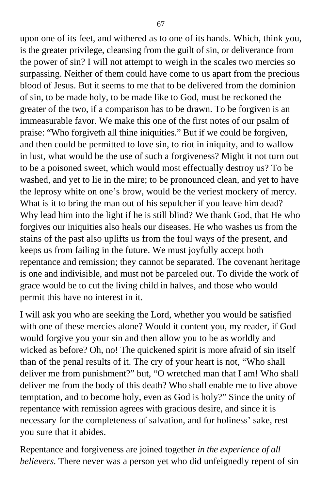upon one of its feet, and withered as to one of its hands. Which, think you, is the greater privilege, cleansing from the guilt of sin, or deliverance from the power of sin? I will not attempt to weigh in the scales two mercies so surpassing. Neither of them could have come to us apart from the precious blood of Jesus. But it seems to me that to be delivered from the dominion of sin, to be made holy, to be made like to God, must be reckoned the greater of the two, if a comparison has to be drawn. To be forgiven is an immeasurable favor. We make this one of the first notes of our psalm of praise: "Who forgiveth all thine iniquities." But if we could be forgiven, and then could be permitted to love sin, to riot in iniquity, and to wallow in lust, what would be the use of such a forgiveness? Might it not turn out to be a poisoned sweet, which would most effectually destroy us? To be washed, and yet to lie in the mire; to be pronounced clean, and yet to have the leprosy white on one's brow, would be the veriest mockery of mercy. What is it to bring the man out of his sepulcher if you leave him dead? Why lead him into the light if he is still blind? We thank God, that He who forgives our iniquities also heals our diseases. He who washes us from the stains of the past also uplifts us from the foul ways of the present, and keeps us from failing in the future. We must joyfully accept both repentance and remission; they cannot be separated. The covenant heritage is one and indivisible, and must not be parceled out. To divide the work of grace would be to cut the living child in halves, and those who would permit this have no interest in it.

I will ask you who are seeking the Lord, whether you would be satisfied with one of these mercies alone? Would it content you, my reader, if God would forgive you your sin and then allow you to be as worldly and wicked as before? Oh, no! The quickened spirit is more afraid of sin itself than of the penal results of it. The cry of your heart is not, "Who shall deliver me from punishment?" but, "O wretched man that I am! Who shall deliver me from the body of this death? Who shall enable me to live above temptation, and to become holy, even as God is holy?" Since the unity of repentance with remission agrees with gracious desire, and since it is necessary for the completeness of salvation, and for holiness' sake, rest you sure that it abides.

Repentance and forgiveness are joined together *in the experience of all believers*. There never was a person yet who did unfeignedly repent of sin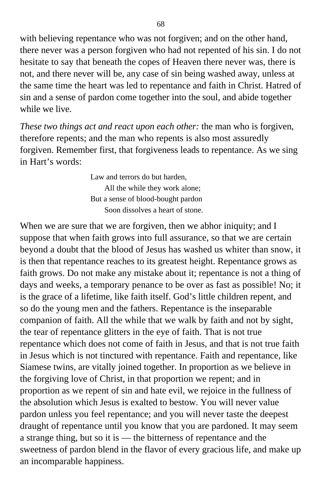with believing repentance who was not forgiven; and on the other hand, there never was a person forgiven who had not repented of his sin. I do not hesitate to say that beneath the copes of Heaven there never was, there is not, and there never will be, any case of sin being washed away, unless at the same time the heart was led to repentance and faith in Christ. Hatred of sin and a sense of pardon come together into the soul, and abide together while we live.

*These two things act and react upon each other:* the man who is forgiven, therefore repents; and the man who repents is also most assuredly forgiven. Remember first, that forgiveness leads to repentance. As we sing in Hart's words:

> Law and terrors do but harden All the while they work alone; But a sense of blood-bought pardon Soon dissolves a heart of stone.

When we are sure that we are forgiven, then we abhor iniquity; and I suppose that when faith grows into full assurance, so that we are certain beyond a doubt that the blood of Jesus has washed us whiter than snow, it is then that repentance reaches to its greatest height. Repentance grows as faith grows. Do not make any mistake about it; repentance is not a thing of days and weeks, a temporary penance to be over as fast as possible! No; it is the grace of a lifetime, like faith itself. God's little children repent, and so do the young men and the fathers. Repentance is the inseparable companion of faith. All the while that we walk by faith and not by sight, the tear of repentance glitters in the eye of faith. That is not true repentance which does not come of faith in Jesus, and that is not true faith in Jesus which is not tinctured with repentance. Faith and repentance, like Siamese twins, are vitally joined together. In proportion as we believe in the forgiving love of Christ, in that proportion we repent; and in proportion as we repent of sin and hate evil, we rejoice in the fullness of the absolution which Jesus is exalted to bestow. You will never value pardon unless you feel repentance; and you will never taste the deepest draught of repentance until you know that you are pardoned. It may seem a strange thing, but so it is — the bitterness of repentance and the sweetness of pardon blend in the flavor of every gracious life, and make up an incomparable happiness.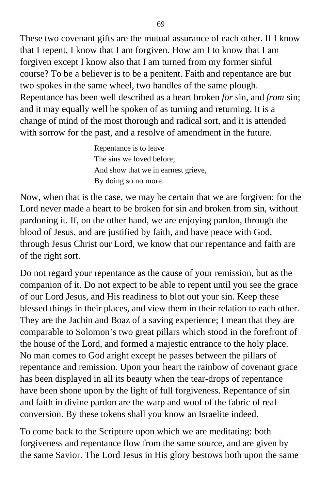These two covenant gifts are the mutual assurance of each other. If I know that I repent, I know that I am forgiven. How am I to know that I am forgiven except I know also that I am turned from my former sinful course? To be a believer is to be a penitent. Faith and repentance are but two spokes in the same wheel, two handles of the same plough. Repentance has been well described as a heart broken *for* sin, and *from* sin; and it may equally well be spoken of as turning and returning. It is a change of mind of the most thorough and radical sort, and it is attended with sorrow for the past, and a resolve of amendment in the future.

> Repentance is to leave The sins we loved before; And show that we in earnest grieve, By doing so no more.

Now, when that is the case, we may be certain that we are forgiven; for the Lord never made a heart to be broken for sin and broken from sin, without pardoning it. If, on the other hand, we are enjoying pardon, through the blood of Jesus, and are justified by faith, and have peace with God, through Jesus Christ our Lord, we know that our repentance and faith are of the right sort.

Do not regard your repentance as the cause of your remission, but as the companion of it. Do not expect to be able to repent until you see the grace of our Lord Jesus, and His readiness to blot out your sin. Keep these blessed things in their places, and view them in their relation to each other. They are the Jachin and Boaz of a saving experience; I mean that they are comparable to Solomon's two great pillars which stood in the forefront of the house of the Lord, and formed a majestic entrance to the holy place. No man comes to God aright except he passes between the pillars of repentance and remission. Upon your heart the rainbow of covenant grace has been displayed in all its beauty when the tear-drops of repentance have been shone upon by the light of full forgiveness. Repentance of sin and faith in divine pardon are the warp and woof of the fabric of real conversion. By these tokens shall you know an Israelite indeed.

To come back to the Scripture upon which we are meditating: both forgiveness and repentance flow from the same source, and are given by the same Savior. The Lord Jesus in His glory bestows both upon the same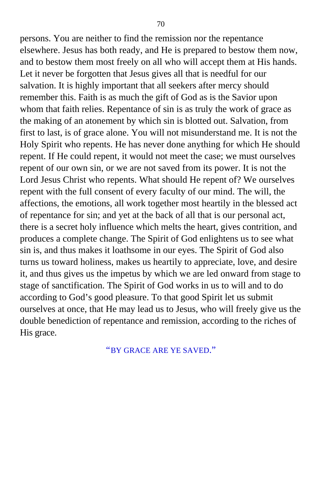persons. You are neither to find the remission nor the repentance elsewhere. Jesus has both ready, and He is prepared to bestow them now, and to bestow them most freely on all who will accept them at His hands. Let it never be forgotten that Jesus gives all that is needful for our salvation. It is highly important that all seekers after mercy should remember this. Faith is as much the gift of God as is the Savior upon whom that faith relies. Repentance of sin is as truly the work of grace as the making of an atonement by which sin is blotted out. Salvation, from first to last, is of grace alone. You will not misunderstand me. It is not the Holy Spirit who repents. He has never done anything for which He should repent. If He could repent, it would not meet the case; we must ourselves repent of our own sin, or we are not saved from its power. It is not the Lord Jesus Christ who repents. What should He repent of? We ourselves repent with the full consent of every faculty of our mind. The will, the affections, the emotions, all work together most heartily in the blessed act of repentance for sin; and yet at the back of all that is our personal act, there is a secret holy influence which melts the heart, gives contrition, and produces a complete change. The Spirit of God enlightens us to see what sin is, and thus makes it loathsome in our eyes. The Spirit of God also turns us toward holiness, makes us heartily to appreciate, love, and desire it, and thus gives us the impetus by which we are led onward from stage to stage of sanctification. The Spirit of God works in us to will and to do according to God's good pleasure. To that good Spirit let us submit ourselves at once, that He may lead us to Jesus, who will freely give us the double benediction of repentance and remission, according to the riches of His grace.

"BY GRACE ARE YE SAVED."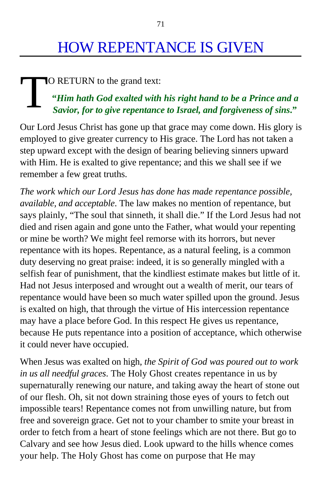## HOW REPENTANCE IS GIVEN

#### O RETURN to the grand text:  **"***Him hath God exalted with his right hand to be a Prince and a Savior, for to give repentance to Israel, and forgiveness of sins***."** T

Our Lord Jesus Christ has gone up that grace may come down. His glory is employed to give greater currency to His grace. The Lord has not taken a step upward except with the design of bearing believing sinners upward with Him. He is exalted to give repentance; and this we shall see if we remember a few great truths.

*The work which our Lord Jesus has done has made repentance possible, available, and acceptable*. The law makes no mention of repentance, but says plainly, "The soul that sinneth, it shall die." If the Lord Jesus had not died and risen again and gone unto the Father, what would your repenting or mine be worth? We might feel remorse with its horrors, but never repentance with its hopes. Repentance, as a natural feeling, is a common duty deserving no great praise: indeed, it is so generally mingled with a selfish fear of punishment, that the kindliest estimate makes but little of it. Had not Jesus interposed and wrought out a wealth of merit, our tears of repentance would have been so much water spilled upon the ground. Jesus is exalted on high, that through the virtue of His intercession repentance may have a place before God. In this respect He gives us repentance, because He puts repentance into a position of acceptance, which otherwise it could never have occupied.

When Jesus was exalted on high, *the Spirit of God was poured out to work in us all needful graces*. The Holy Ghost creates repentance in us by supernaturally renewing our nature, and taking away the heart of stone out of our flesh. Oh, sit not down straining those eyes of yours to fetch out impossible tears! Repentance comes not from unwilling nature, but from free and sovereign grace. Get not to your chamber to smite your breast in order to fetch from a heart of stone feelings which are not there. But go to Calvary and see how Jesus died. Look upward to the hills whence comes your help. The Holy Ghost has come on purpose that He may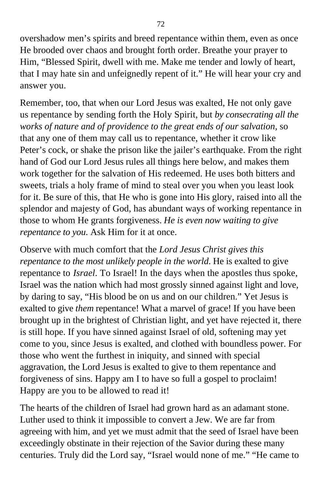overshadow men's spirits and breed repentance within them, even as once He brooded over chaos and brought forth order. Breathe your prayer to Him, "Blessed Spirit, dwell with me. Make me tender and lowly of heart, that I may hate sin and unfeignedly repent of it." He will hear your cry and answer you.

Remember, too, that when our Lord Jesus was exalted, He not only gave us repentance by sending forth the Holy Spirit, but *by consecrating all the works of nature and of providence to the great ends of our salvation*, so that any one of them may call us to repentance, whether it crow like Peter's cock, or shake the prison like the jailer's earthquake. From the right hand of God our Lord Jesus rules all things here below, and makes them work together for the salvation of His redeemed. He uses both bitters and sweets, trials a holy frame of mind to steal over you when you least look for it. Be sure of this, that He who is gone into His glory, raised into all the splendor and majesty of God, has abundant ways of working repentance in those to whom He grants forgiveness. *He is even now waiting to give repentance to you*. Ask Him for it at once.

Observe with much comfort that the *Lord Jesus Christ gives this repentance to the most unlikely people in the world*. He is exalted to give repentance to *Israel*. To Israel! In the days when the apostles thus spoke, Israel was the nation which had most grossly sinned against light and love, by daring to say, "His blood be on us and on our children." Yet Jesus is exalted to give *them* repentance! What a marvel of grace! If you have been brought up in the brightest of Christian light, and yet have rejected it, there is still hope. If you have sinned against Israel of old, softening may yet come to you, since Jesus is exalted, and clothed with boundless power. For those who went the furthest in iniquity, and sinned with special aggravation, the Lord Jesus is exalted to give to them repentance and forgiveness of sins. Happy am I to have so full a gospel to proclaim! Happy are you to be allowed to read it!

The hearts of the children of Israel had grown hard as an adamant stone. Luther used to think it impossible to convert a Jew. We are far from agreeing with him, and yet we must admit that the seed of Israel have been exceedingly obstinate in their rejection of the Savior during these many centuries. Truly did the Lord say, "Israel would none of me." "He came to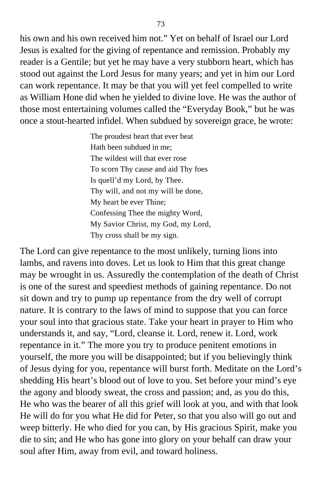his own and his own received him not." Yet on behalf of Israel our Lord Jesus is exalted for the giving of repentance and remission. Probably my reader is a Gentile; but yet he may have a very stubborn heart, which has stood out against the Lord Jesus for many years; and yet in him our Lord can work repentance. It may be that you will yet feel compelled to write as William Hone did when he yielded to divine love. He was the author of those most entertaining volumes called the "Everyday Book," but he was once a stout-hearted infidel. When subdued by sovereign grace, he wrote:

> The proudest heart that ever beat Hath been subdued in me; The wildest will that ever rose To scorn Thy cause and aid Thy foes Is quell'd my Lord, by Thee. Thy will, and not my will be done, My heart be ever Thine; Confessing Thee the mighty Word, My Savior Christ, my God, my Lord, Thy cross shall be my sign.

The Lord can give repentance to the most unlikely, turning lions into lambs, and ravens into doves. Let us look to Him that this great change may be wrought in us. Assuredly the contemplation of the death of Christ is one of the surest and speediest methods of gaining repentance. Do not sit down and try to pump up repentance from the dry well of corrupt nature. It is contrary to the laws of mind to suppose that you can force your soul into that gracious state. Take your heart in prayer to Him who understands it, and say, "Lord, cleanse it. Lord, renew it. Lord, work repentance in it." The more you try to produce penitent emotions in yourself, the more you will be disappointed; but if you believingly think of Jesus dying for you, repentance will burst forth. Meditate on the Lord's shedding His heart's blood out of love to you. Set before your mind's eye the agony and bloody sweat, the cross and passion; and, as you do this, He who was the bearer of all this grief will look at you, and with that look He will do for you what He did for Peter, so that you also will go out and weep bitterly. He who died for you can, by His gracious Spirit, make you die to sin; and He who has gone into glory on your behalf can draw your soul after Him, away from evil, and toward holiness.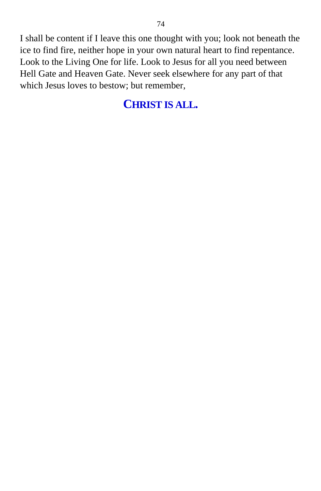I shall be content if I leave this one thought with you; look not beneath the ice to find fire, neither hope in your own natural heart to find repentance. Look to the Living One for life. Look to Jesus for all you need between Hell Gate and Heaven Gate. Never seek elsewhere for any part of that which Jesus loves to bestow; but remember,

## **CHRIST IS ALL.**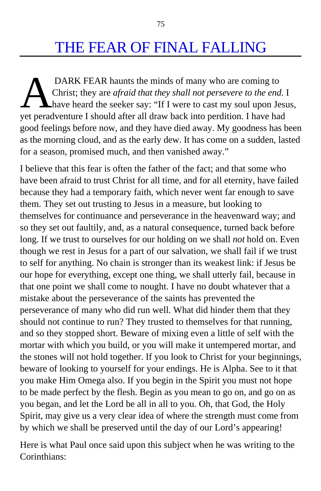# THE FEAR OF FINAL FALLING

 DARK FEAR haunts the minds of many who are coming to Christ; they are *afraid that they shall not persevere to the end*. I have heard the seeker say: "If I were to cast my soul upon Jesus, yet peradventure I should after all draw back into perdition. I have had good feelings before now, and they have died away. My goodness has been as the morning cloud, and as the early dew. It has come on a sudden, lasted for a season, promised much, and then vanished away." A

I believe that this fear is often the father of the fact; and that some who have been afraid to trust Christ for all time, and for all eternity, have failed because they had a temporary faith, which never went far enough to save them. They set out trusting to Jesus in a measure, but looking to themselves for continuance and perseverance in the heavenward way; and so they set out faultily, and, as a natural consequence, turned back before long. If we trust to ourselves for our holding on we shall *not* hold on. Even though we rest in Jesus for a part of our salvation, we shall fail if we trust to self for anything. No chain is stronger than its weakest link: if Jesus be our hope for everything, except one thing, we shall utterly fail, because in that one point we shall come to nought. I have no doubt whatever that a mistake about the perseverance of the saints has prevented the perseverance of many who did run well. What did hinder them that they should not continue to run? They trusted to themselves for that running, and so they stopped short. Beware of mixing even a little of self with the mortar with which you build, or you will make it untempered mortar, and the stones will not hold together. If you look to Christ for your beginnings, beware of looking to yourself for your endings. He is Alpha. See to it that you make Him Omega also. If you begin in the Spirit you must not hope to be made perfect by the flesh. Begin as you mean to go on, and go on as you began, and let the Lord be all in all to you. Oh, that God, the Holy Spirit, may give us a very clear idea of where the strength must come from by which we shall be preserved until the day of our Lord's appearing!

Here is what Paul once said upon this subject when he was writing to the Corinthians: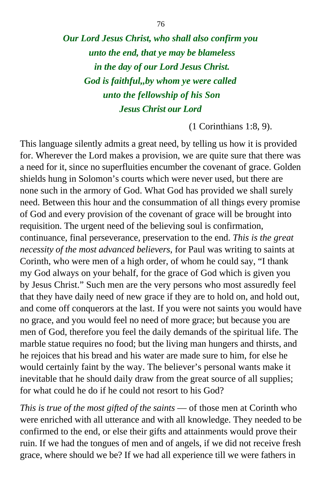*Our Lord Jesus Christ, who shall also confirm you unto the end, that ye may be blameless in the day of our Lord Jesus Christ. God is faithful,,by whom ye were called unto the fellowship of his Son Jesus Christ our Lord*

(1 Corinthians 1:8, 9).

This language silently admits a great need, by telling us how it is provided for. Wherever the Lord makes a provision, we are quite sure that there was a need for it, since no superfluities encumber the covenant of grace. Golden shields hung in Solomon's courts which were never used, but there are none such in the armory of God. What God has provided we shall surely need. Between this hour and the consummation of all things every promise of God and every provision of the covenant of grace will be brought into requisition. The urgent need of the believing soul is confirmation, continuance, final perseverance, preservation to the end. *This is the great necessity of the most advanced believers*, for Paul was writing to saints at Corinth, who were men of a high order, of whom he could say, "I thank my God always on your behalf, for the grace of God which is given you by Jesus Christ." Such men are the very persons who most assuredly feel that they have daily need of new grace if they are to hold on, and hold out, and come off conquerors at the last. If you were not saints you would have no grace, and you would feel no need of more grace; but because you are men of God, therefore you feel the daily demands of the spiritual life. The marble statue requires no food; but the living man hungers and thirsts, and he rejoices that his bread and his water are made sure to him, for else he would certainly faint by the way. The believer's personal wants make it inevitable that he should daily draw from the great source of all supplies; for what could he do if he could not resort to his God?

*This is true of the most gifted of the saints* — of those men at Corinth who were enriched with all utterance and with all knowledge. They needed to be confirmed to the end, or else their gifts and attainments would prove their ruin. If we had the tongues of men and of angels, if we did not receive fresh grace, where should we be? If we had all experience till we were fathers in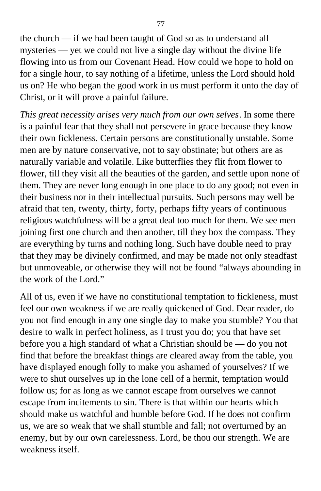the church — if we had been taught of God so as to understand all mysteries — yet we could not live a single day without the divine life flowing into us from our Covenant Head. How could we hope to hold on for a single hour, to say nothing of a lifetime, unless the Lord should hold us on? He who began the good work in us must perform it unto the day of Christ, or it will prove a painful failure.

*This great necessity arises very much from our own selves*. In some there is a painful fear that they shall not persevere in grace because they know their own fickleness. Certain persons are constitutionally unstable. Some men are by nature conservative, not to say obstinate; but others are as naturally variable and volatile. Like butterflies they flit from flower to flower, till they visit all the beauties of the garden, and settle upon none of them. They are never long enough in one place to do any good; not even in their business nor in their intellectual pursuits. Such persons may well be afraid that ten, twenty, thirty, forty, perhaps fifty years of continuous religious watchfulness will be a great deal too much for them. We see men joining first one church and then another, till they box the compass. They are everything by turns and nothing long. Such have double need to pray that they may be divinely confirmed, and may be made not only steadfast but unmoveable, or otherwise they will not be found "always abounding in the work of the Lord."

All of us, even if we have no constitutional temptation to fickleness, must feel our own weakness if we are really quickened of God. Dear reader, do you not find enough in any one single day to make you stumble? You that desire to walk in perfect holiness, as I trust you do; you that have set before you a high standard of what a Christian should be — do you not find that before the breakfast things are cleared away from the table, you have displayed enough folly to make you ashamed of yourselves? If we were to shut ourselves up in the lone cell of a hermit, temptation would follow us; for as long as we cannot escape from ourselves we cannot escape from incitements to sin. There is that within our hearts which should make us watchful and humble before God. If he does not confirm us, we are so weak that we shall stumble and fall; not overturned by an enemy, but by our own carelessness. Lord, be thou our strength. We are weakness itself.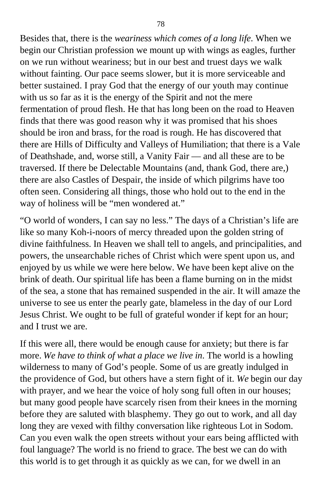Besides that, there is the *weariness which comes of a long life*. When we begin our Christian profession we mount up with wings as eagles, further on we run without weariness; but in our best and truest days we walk without fainting. Our pace seems slower, but it is more serviceable and better sustained. I pray God that the energy of our youth may continue with us so far as it is the energy of the Spirit and not the mere fermentation of proud flesh. He that has long been on the road to Heaven finds that there was good reason why it was promised that his shoes should be iron and brass, for the road is rough. He has discovered that there are Hills of Difficulty and Valleys of Humiliation; that there is a Vale of Deathshade, and, worse still, a Vanity Fair — and all these are to be traversed. If there be Delectable Mountains (and, thank God, there are,) there are also Castles of Despair, the inside of which pilgrims have too often seen. Considering all things, those who hold out to the end in the way of holiness will be "men wondered at."

"O world of wonders, I can say no less." The days of a Christian's life are like so many Koh-i-noors of mercy threaded upon the golden string of divine faithfulness. In Heaven we shall tell to angels, and principalities, and powers, the unsearchable riches of Christ which were spent upon us, and enjoyed by us while we were here below. We have been kept alive on the brink of death. Our spiritual life has been a flame burning on in the midst of the sea, a stone that has remained suspended in the air. It will amaze the universe to see us enter the pearly gate, blameless in the day of our Lord Jesus Christ. We ought to be full of grateful wonder if kept for an hour; and I trust we are.

If this were all, there would be enough cause for anxiety; but there is far more. *We have to think of what a place we live in*. The world is a howling wilderness to many of God's people. Some of us are greatly indulged in the providence of God, but others have a stern fight of it. *We* begin our day with prayer, and we hear the voice of holy song full often in our houses; but many good people have scarcely risen from their knees in the morning before they are saluted with blasphemy. They go out to work, and all day long they are vexed with filthy conversation like righteous Lot in Sodom. Can you even walk the open streets without your ears being afflicted with foul language? The world is no friend to grace. The best we can do with this world is to get through it as quickly as we can, for we dwell in an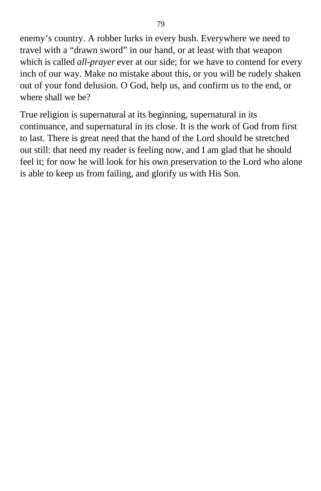enemy's country. A robber lurks in every bush. Everywhere we need to travel with a "drawn sword" in our hand, or at least with that weapon which is called *all-prayer* ever at our side; for we have to contend for every inch of our way. Make no mistake about this, or you will be rudely shaken out of your fond delusion. O God, help us, and confirm us to the end, or where shall we be?

True religion is supernatural at its beginning, supernatural in its continuance, and supernatural in its close. It is the work of God from first to last. There is great need that the hand of the Lord should be stretched out still: that need my reader is feeling now, and I am glad that he should feel it; for now he will look for his own preservation to the Lord who alone is able to keep us from failing, and glorify us with His Son.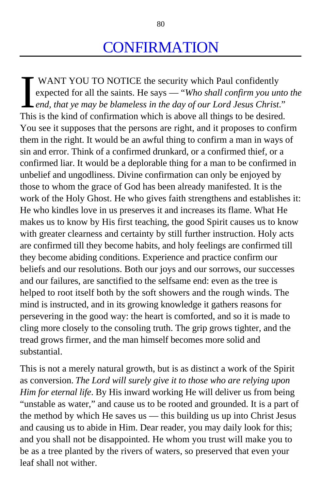# **CONFIRMATION**

WANT YOU TO NOTICE the security which Paul confidently expected for all the saints. He says — "*Who shall confirm you unto the end, that ye may be blameless in the day of our Lord Jesus Christ*." WANT YOU TO NOTICE the security which Paul confidently<br>expected for all the saints. He says — "Who shall confirm you unto<br>end, that ye may be blameless in the day of our Lord Jesus Christ."<br>This is the kind of confirmation You see it supposes that the persons are right, and it proposes to confirm them in the right. It would be an awful thing to confirm a man in ways of sin and error. Think of a confirmed drunkard, or a confirmed thief, or a confirmed liar. It would be a deplorable thing for a man to be confirmed in unbelief and ungodliness. Divine confirmation can only be enjoyed by those to whom the grace of God has been already manifested. It is the work of the Holy Ghost. He who gives faith strengthens and establishes it: He who kindles love in us preserves it and increases its flame. What He makes us to know by His first teaching, the good Spirit causes us to know with greater clearness and certainty by still further instruction. Holy acts are confirmed till they become habits, and holy feelings are confirmed till they become abiding conditions. Experience and practice confirm our beliefs and our resolutions. Both our joys and our sorrows, our successes and our failures, are sanctified to the selfsame end: even as the tree is helped to root itself both by the soft showers and the rough winds. The mind is instructed, and in its growing knowledge it gathers reasons for persevering in the good way: the heart is comforted, and so it is made to cling more closely to the consoling truth. The grip grows tighter, and the tread grows firmer, and the man himself becomes more solid and substantial.

This is not a merely natural growth, but is as distinct a work of the Spirit as conversion. *The Lord will surely give it to those who are relying upon Him for eternal life*. By His inward working He will deliver us from being "unstable as water," and cause us to be rooted and grounded. It is a part of the method by which He saves us — this building us up into Christ Jesus and causing us to abide in Him. Dear reader, you may daily look for this; and you shall not be disappointed. He whom you trust will make you to be as a tree planted by the rivers of waters, so preserved that even your leaf shall not wither.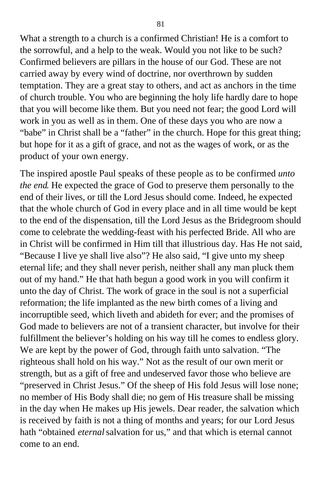What a strength to a church is a confirmed Christian! He is a comfort to the sorrowful, and a help to the weak. Would you not like to be such? Confirmed believers are pillars in the house of our God. These are not carried away by every wind of doctrine, nor overthrown by sudden temptation. They are a great stay to others, and act as anchors in the time of church trouble. You who are beginning the holy life hardly dare to hope that you will become like them. But you need not fear; the good Lord will work in you as well as in them. One of these days you who are now a "babe" in Christ shall be a "father" in the church. Hope for this great thing; but hope for it as a gift of grace, and not as the wages of work, or as the product of your own energy.

The inspired apostle Paul speaks of these people as to be confirmed *unto the end*. He expected the grace of God to preserve them personally to the end of their lives, or till the Lord Jesus should come. Indeed, he expected that the whole church of God in every place and in all time would be kept to the end of the dispensation, till the Lord Jesus as the Bridegroom should come to celebrate the wedding-feast with his perfected Bride. All who are in Christ will be confirmed in Him till that illustrious day. Has He not said, "Because I live ye shall live also"? He also said, "I give unto my sheep eternal life; and they shall never perish, neither shall any man pluck them out of my hand." He that hath begun a good work in you will confirm it unto the day of Christ. The work of grace in the soul is not a superficial reformation; the life implanted as the new birth comes of a living and incorruptible seed, which liveth and abideth for ever; and the promises of God made to believers are not of a transient character, but involve for their fulfillment the believer's holding on his way till he comes to endless glory. We are kept by the power of God, through faith unto salvation. "The righteous shall hold on his way." Not as the result of our own merit or strength, but as a gift of free and undeserved favor those who believe are "preserved in Christ Jesus." Of the sheep of His fold Jesus will lose none; no member of His Body shall die; no gem of His treasure shall be missing in the day when He makes up His jewels. Dear reader, the salvation which is received by faith is not a thing of months and years; for our Lord Jesus hath "obtained *eternal* salvation for us," and that which is eternal cannot come to an end.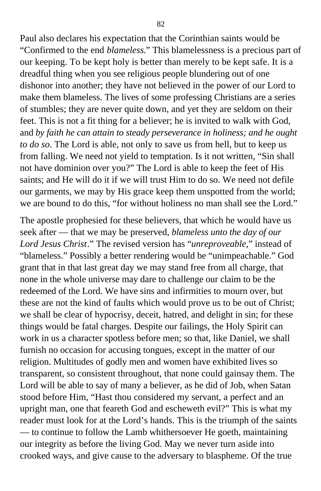Paul also declares his expectation that the Corinthian saints would be "Confirmed to the end *blameless*." This blamelessness is a precious part of our keeping. To be kept holy is better than merely to be kept safe. It is a dreadful thing when you see religious people blundering out of one dishonor into another; they have not believed in the power of our Lord to make them blameless. The lives of some professing Christians are a series of stumbles; they are never quite down, and yet they are seldom on their feet. This is not a fit thing for a believer; he is invited to walk with God, and *by faith he can attain to steady perseverance in holiness; and he ought to do so*. The Lord is able, not only to save us from hell, but to keep us from falling. We need not yield to temptation. Is it not written, "Sin shall not have dominion over you?" The Lord is able to keep the feet of His saints; and He will do it if we will trust Him to do so. We need not defile our garments, we may by His grace keep them unspotted from the world; we are bound to do this, "for without holiness no man shall see the Lord."

The apostle prophesied for these believers, that which he would have us seek after — that we may be preserved, *blameless unto the day of our Lord Jesus Christ*." The revised version has "*unreproveable*," instead of "blameless." Possibly a better rendering would be "unimpeachable." God grant that in that last great day we may stand free from all charge, that none in the whole universe may dare to challenge our claim to be the redeemed of the Lord. We have sins and infirmities to mourn over, but these are not the kind of faults which would prove us to be out of Christ; we shall be clear of hypocrisy, deceit, hatred, and delight in sin; for these things would be fatal charges. Despite our failings, the Holy Spirit can work in us a character spotless before men; so that, like Daniel, we shall furnish no occasion for accusing tongues, except in the matter of our religion. Multitudes of godly men and women have exhibited lives so transparent, so consistent throughout, that none could gainsay them. The Lord will be able to say of many a believer, as he did of Job, when Satan stood before Him, "Hast thou considered my servant, a perfect and an upright man, one that feareth God and escheweth evil?" This is what my reader must look for at the Lord's hands. This is the triumph of the saints — to continue to follow the Lamb whithersoever He goeth, maintaining our integrity as before the living God. May we never turn aside into crooked ways, and give cause to the adversary to blaspheme. Of the true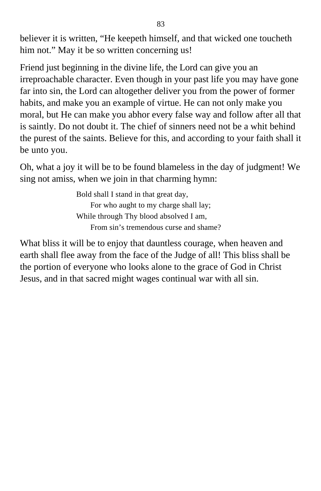believer it is written, "He keepeth himself, and that wicked one toucheth him not." May it be so written concerning us!

Friend just beginning in the divine life, the Lord can give you an irreproachable character. Even though in your past life you may have gone far into sin, the Lord can altogether deliver you from the power of former habits, and make you an example of virtue. He can not only make you moral, but He can make you abhor every false way and follow after all that is saintly. Do not doubt it. The chief of sinners need not be a whit behind the purest of the saints. Believe for this, and according to your faith shall it be unto you.

Oh, what a joy it will be to be found blameless in the day of judgment! We sing not amiss, when we join in that charming hymn:

> Bold shall I stand in that great day, For who aught to my charge shall lay; While through Thy blood absolved I am, From sin's tremendous curse and shame?

What bliss it will be to enjoy that dauntless courage, when heaven and earth shall flee away from the face of the Judge of all! This bliss shall be the portion of everyone who looks alone to the grace of God in Christ Jesus, and in that sacred might wages continual war with all sin.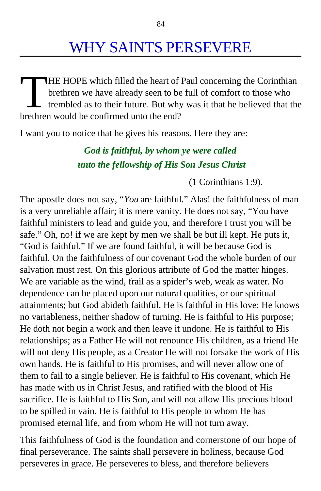# WHY SAINTS PERSEVERE

**HE HOPE** which filled the heart of Paul concerning the Corinthian brethren we have already seen to be full of comfort to those who trembled as to their future. But why was it that he believed that the brethren would be confirmed unto the end? T

I want you to notice that he gives his reasons. Here they are:

*God is faithful, by whom ye were called unto the fellowship of His Son Jesus Christ*

(1 Corinthians 1:9).

The apostle does not say, "*You* are faithful." Alas! the faithfulness of man is a very unreliable affair; it is mere vanity. He does not say, "You have faithful ministers to lead and guide you, and therefore I trust you will be safe." Oh, no! if we are kept by men we shall be but ill kept. He puts it, "God is faithful." If we are found faithful, it will be because God is faithful. On the faithfulness of our covenant God the whole burden of our salvation must rest. On this glorious attribute of God the matter hinges. We are variable as the wind, frail as a spider's web, weak as water. No dependence can be placed upon our natural qualities, or our spiritual attainments; but God abideth faithful. He is faithful in His love; He knows no variableness, neither shadow of turning. He is faithful to His purpose; He doth not begin a work and then leave it undone. He is faithful to His relationships; as a Father He will not renounce His children, as a friend He will not deny His people, as a Creator He will not forsake the work of His own hands. He is faithful to His promises, and will never allow one of them to fail to a single believer. He is faithful to His covenant, which He has made with us in Christ Jesus, and ratified with the blood of His sacrifice. He is faithful to His Son, and will not allow His precious blood to be spilled in vain. He is faithful to His people to whom He has promised eternal life, and from whom He will not turn away.

This faithfulness of God is the foundation and cornerstone of our hope of final perseverance. The saints shall persevere in holiness, because God perseveres in grace. He perseveres to bless, and therefore believers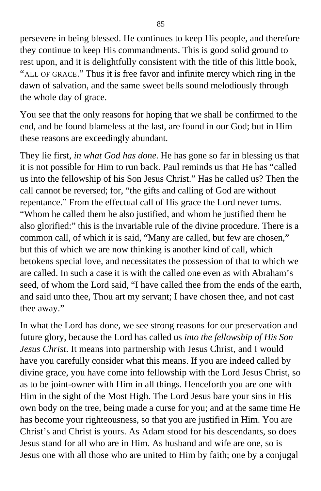persevere in being blessed. He continues to keep His people, and therefore they continue to keep His commandments. This is good solid ground to rest upon, and it is delightfully consistent with the title of this little book, "ALL OF GRACE." Thus it is free favor and infinite mercy which ring in the dawn of salvation, and the same sweet bells sound melodiously through the whole day of grace.

You see that the only reasons for hoping that we shall be confirmed to the end, and be found blameless at the last, are found in our God; but in Him these reasons are exceedingly abundant.

They lie first, *in what God has done*. He has gone so far in blessing us that it is not possible for Him to run back. Paul reminds us that He has "called us into the fellowship of his Son Jesus Christ." Has he called us? Then the call cannot be reversed; for, "the gifts and calling of God are without repentance." From the effectual call of His grace the Lord never turns. "Whom he called them he also justified, and whom he justified them he also glorified:" this is the invariable rule of the divine procedure. There is a common call, of which it is said, "Many are called, but few are chosen," but this of which we are now thinking is another kind of call, which betokens special love, and necessitates the possession of that to which we are called. In such a case it is with the called one even as with Abraham's seed, of whom the Lord said, "I have called thee from the ends of the earth, and said unto thee, Thou art my servant; I have chosen thee, and not cast thee away."

In what the Lord has done, we see strong reasons for our preservation and future glory, because the Lord has called us *into the fellowship of His Son Jesus Christ*. It means into partnership with Jesus Christ, and I would have you carefully consider what this means. If you are indeed called by divine grace, you have come into fellowship with the Lord Jesus Christ, so as to be joint-owner with Him in all things. Henceforth you are one with Him in the sight of the Most High. The Lord Jesus bare your sins in His own body on the tree, being made a curse for you; and at the same time He has become your righteousness, so that you are justified in Him. You are Christ's and Christ is yours. As Adam stood for his descendants, so does Jesus stand for all who are in Him. As husband and wife are one, so is Jesus one with all those who are united to Him by faith; one by a conjugal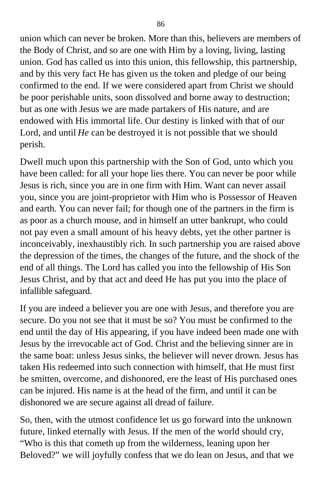union which can never be broken. More than this, believers are members of the Body of Christ, and so are one with Him by a loving, living, lasting union. God has called us into this union, this fellowship, this partnership, and by this very fact He has given us the token and pledge of our being confirmed to the end. If we were considered apart from Christ we should be poor perishable units, soon dissolved and borne away to destruction; but as one with Jesus we are made partakers of His nature, and are endowed with His immortal life. Our destiny is linked with that of our Lord, and until *He* can be destroyed it is not possible that we should perish.

Dwell much upon this partnership with the Son of God, unto which you have been called: for all your hope lies there. You can never be poor while Jesus is rich, since you are in one firm with Him. Want can never assail you, since you are joint-proprietor with Him who is Possessor of Heaven and earth. You can never fail; for though one of the partners in the firm is as poor as a church mouse, and in himself an utter bankrupt, who could not pay even a small amount of his heavy debts, yet the other partner is inconceivably, inexhaustibly rich. In such partnership you are raised above the depression of the times, the changes of the future, and the shock of the end of all things. The Lord has called you into the fellowship of His Son Jesus Christ, and by that act and deed He has put you into the place of infallible safeguard.

If you are indeed a believer you are one with Jesus, and therefore you are secure. Do you not see that it must be so? You must be confirmed to the end until the day of His appearing, if you have indeed been made one with Jesus by the irrevocable act of God. Christ and the believing sinner are in the same boat: unless Jesus sinks, the believer will never drown. Jesus has taken His redeemed into such connection with himself, that He must first be smitten, overcome, and dishonored, ere the least of His purchased ones can be injured. His name is at the head of the firm, and until it can be dishonored we are secure against all dread of failure.

So, then, with the utmost confidence let us go forward into the unknown future, linked eternally with Jesus. If the men of the world should cry, "Who is this that cometh up from the wilderness, leaning upon her Beloved?" we will joyfully confess that we do lean on Jesus, and that we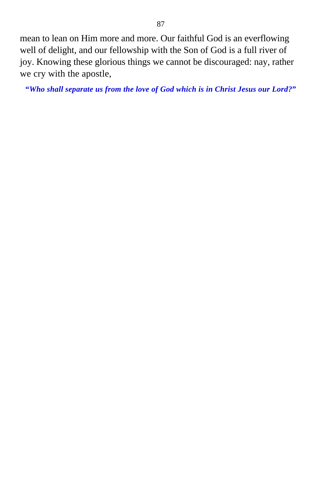mean to lean on Him more and more. Our faithful God is an everflowing well of delight, and our fellowship with the Son of God is a full river of joy. Knowing these glorious things we cannot be discouraged: nay, rather we cry with the apostle,

**"***Who shall separate us from the love of God which is in Christ Jesus our Lord?***"**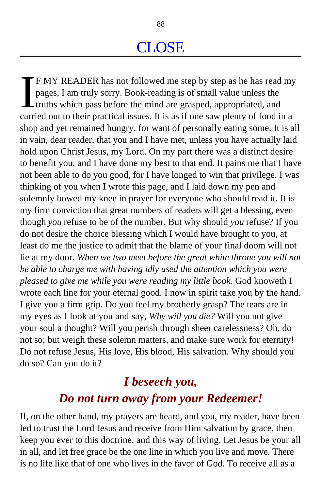## CLOSE

F MY READER has not followed me step by step as he has read my pages, I am truly sorry. Book-reading is of small value unless the truths which pass before the mind are grasped, appropriated, and F MY READER has not followed me step by step as he has read my pages, I am truly sorry. Book-reading is of small value unless the truths which pass before the mind are grasped, appropriated, and carried out to their practi shop and yet remained hungry, for want of personally eating some. It is all in vain, dear reader, that you and I have met, unless you have actually laid hold upon Christ Jesus, my Lord. On my part there was a distinct desire to benefit you, and I have done my best to that end. It pains me that I have not been able to do you good, for I have longed to win that privilege. I was thinking of you when I wrote this page, and I laid down my pen and solemnly bowed my knee in prayer for everyone who should read it. It is my firm conviction that great numbers of readers will get a blessing, even though *you* refuse to be of the number. But why should *you* refuse? If you do not desire the choice blessing which I would have brought to you, at least do me the justice to admit that the blame of your final doom will not lie at my door. *When we two meet before the great white throne you will not be able to charge me with having idly used the attention which you were pleased to give me while you were reading my little book*. God knoweth I wrote each line for your eternal good. I now in spirit take you by the hand. I give you a firm grip. Do you feel my brotherly grasp? The tears are in my eyes as I look at you and say, *Why will you die?* Will you not give your soul a thought? Will you perish through sheer carelessness? Oh, do not so; but weigh these solemn matters, and make sure work for eternity! Do not refuse Jesus, His love, His blood, His salvation. Why should you do so? Can you do it?

## *I beseech you, Do not turn away from your Redeemer!*

If, on the other hand, my prayers are heard, and you, my reader, have been led to trust the Lord Jesus and receive from Him salvation by grace, then keep you ever to this doctrine, and this way of living. Let Jesus be your all in all, and let free grace be the one line in which you live and move. There is no life like that of one who lives in the favor of God. To receive all as a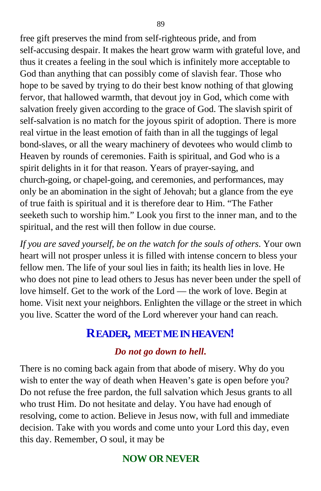free gift preserves the mind from self-righteous pride, and from self-accusing despair. It makes the heart grow warm with grateful love, and thus it creates a feeling in the soul which is infinitely more acceptable to God than anything that can possibly come of slavish fear. Those who hope to be saved by trying to do their best know nothing of that glowing fervor, that hallowed warmth, that devout joy in God, which come with salvation freely given according to the grace of God. The slavish spirit of self-salvation is no match for the joyous spirit of adoption. There is more real virtue in the least emotion of faith than in all the tuggings of legal bond-slaves, or all the weary machinery of devotees who would climb to Heaven by rounds of ceremonies. Faith is spiritual, and God who is a spirit delights in it for that reason. Years of prayer-saying, and church-going, or chapel-going, and ceremonies, and performances, may only be an abomination in the sight of Jehovah; but a glance from the eye of true faith is spiritual and it is therefore dear to Him. "The Father seeketh such to worship him." Look you first to the inner man, and to the spiritual, and the rest will then follow in due course.

*If you are saved yourself, be on the watch for the souls of others*. Your own heart will not prosper unless it is filled with intense concern to bless your fellow men. The life of your soul lies in faith; its health lies in love. He who does not pine to lead others to Jesus has never been under the spell of love himself. Get to the work of the Lord — the work of love. Begin at home. Visit next your neighbors. Enlighten the village or the street in which you live. Scatter the word of the Lord wherever your hand can reach.

### **READER, MEET ME IN HEAVEN!**

#### *Do not go down to hell***.**

There is no coming back again from that abode of misery. Why do you wish to enter the way of death when Heaven's gate is open before you? Do not refuse the free pardon, the full salvation which Jesus grants to all who trust Him. Do not hesitate and delay. You have had enough of resolving, come to action. Believe in Jesus now, with full and immediate decision. Take with you words and come unto your Lord this day, even this day. Remember, O soul, it may be

### **NOW OR NEVER**